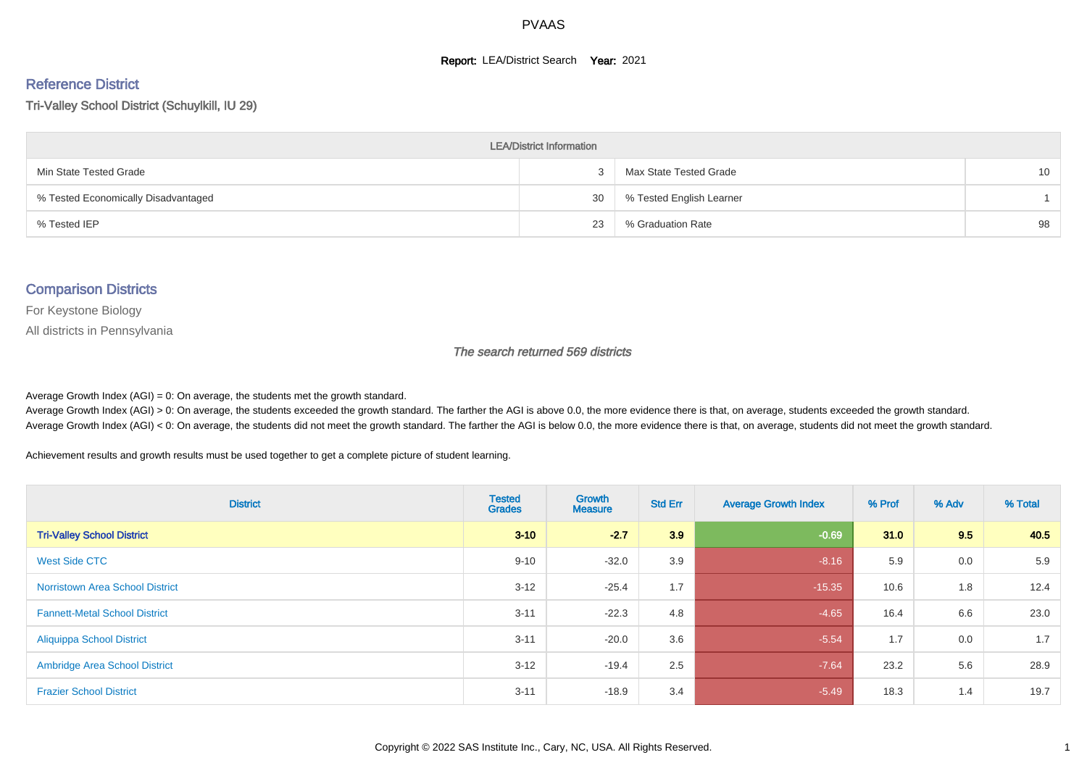#### **Report: LEA/District Search Year: 2021**

#### Reference District

Tri-Valley School District (Schuylkill, IU 29)

| <b>LEA/District Information</b>     |    |                          |                 |  |  |  |  |  |  |  |
|-------------------------------------|----|--------------------------|-----------------|--|--|--|--|--|--|--|
| Min State Tested Grade              |    | Max State Tested Grade   | 10 <sup>°</sup> |  |  |  |  |  |  |  |
| % Tested Economically Disadvantaged | 30 | % Tested English Learner |                 |  |  |  |  |  |  |  |
| % Tested IEP                        | 23 | % Graduation Rate        | 98              |  |  |  |  |  |  |  |

#### Comparison Districts

For Keystone Biology

All districts in Pennsylvania

The search returned 569 districts

Average Growth Index  $(AGI) = 0$ : On average, the students met the growth standard.

Average Growth Index (AGI) > 0: On average, the students exceeded the growth standard. The farther the AGI is above 0.0, the more evidence there is that, on average, students exceeded the growth standard. Average Growth Index (AGI) < 0: On average, the students did not meet the growth standard. The farther the AGI is below 0.0, the more evidence there is that, on average, students did not meet the growth standard.

Achievement results and growth results must be used together to get a complete picture of student learning.

| <b>District</b>                        | <b>Tested</b><br><b>Grades</b> | Growth<br><b>Measure</b> | <b>Std Err</b> | <b>Average Growth Index</b> | % Prof | % Adv | % Total |
|----------------------------------------|--------------------------------|--------------------------|----------------|-----------------------------|--------|-------|---------|
| <b>Tri-Valley School District</b>      | $3 - 10$                       | $-2.7$                   | 3.9            | $-0.69$                     | 31.0   | 9.5   | 40.5    |
| West Side CTC                          | $9 - 10$                       | $-32.0$                  | 3.9            | $-8.16$                     | 5.9    | 0.0   | 5.9     |
| <b>Norristown Area School District</b> | $3 - 12$                       | $-25.4$                  | 1.7            | $-15.35$                    | 10.6   | 1.8   | 12.4    |
| <b>Fannett-Metal School District</b>   | $3 - 11$                       | $-22.3$                  | 4.8            | $-4.65$                     | 16.4   | 6.6   | 23.0    |
| <b>Aliquippa School District</b>       | $3 - 11$                       | $-20.0$                  | 3.6            | $-5.54$                     | 1.7    | 0.0   | 1.7     |
| <b>Ambridge Area School District</b>   | $3 - 12$                       | $-19.4$                  | 2.5            | $-7.64$                     | 23.2   | 5.6   | 28.9    |
| <b>Frazier School District</b>         | $3 - 11$                       | $-18.9$                  | 3.4            | $-5.49$                     | 18.3   | 1.4   | 19.7    |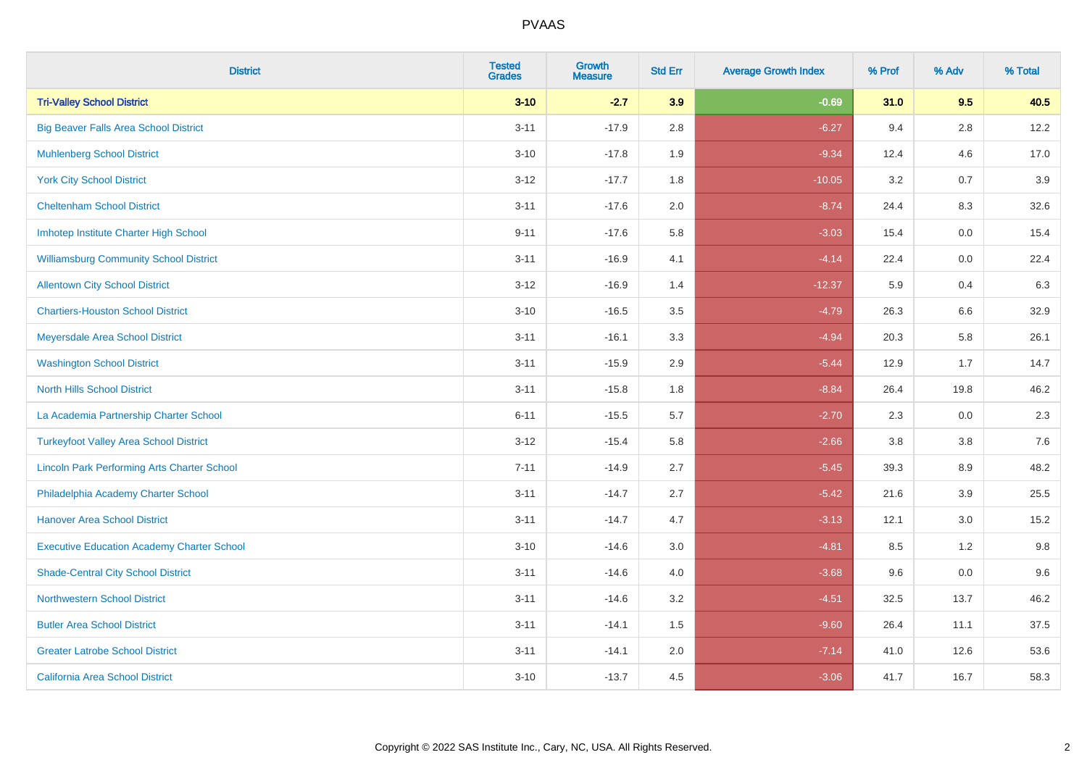| <b>District</b>                                    | <b>Tested</b><br><b>Grades</b> | Growth<br><b>Measure</b> | <b>Std Err</b> | <b>Average Growth Index</b> | % Prof | % Adv   | % Total |
|----------------------------------------------------|--------------------------------|--------------------------|----------------|-----------------------------|--------|---------|---------|
| <b>Tri-Valley School District</b>                  | $3 - 10$                       | $-2.7$                   | 3.9            | $-0.69$                     | 31.0   | 9.5     | 40.5    |
| <b>Big Beaver Falls Area School District</b>       | $3 - 11$                       | $-17.9$                  | 2.8            | $-6.27$                     | 9.4    | 2.8     | 12.2    |
| <b>Muhlenberg School District</b>                  | $3 - 10$                       | $-17.8$                  | 1.9            | $-9.34$                     | 12.4   | 4.6     | 17.0    |
| <b>York City School District</b>                   | $3-12$                         | $-17.7$                  | 1.8            | $-10.05$                    | 3.2    | 0.7     | 3.9     |
| <b>Cheltenham School District</b>                  | $3 - 11$                       | $-17.6$                  | 2.0            | $-8.74$                     | 24.4   | 8.3     | 32.6    |
| Imhotep Institute Charter High School              | $9 - 11$                       | $-17.6$                  | 5.8            | $-3.03$                     | 15.4   | 0.0     | 15.4    |
| <b>Williamsburg Community School District</b>      | $3 - 11$                       | $-16.9$                  | 4.1            | $-4.14$                     | 22.4   | $0.0\,$ | 22.4    |
| <b>Allentown City School District</b>              | $3 - 12$                       | $-16.9$                  | 1.4            | $-12.37$                    | 5.9    | 0.4     | 6.3     |
| <b>Chartiers-Houston School District</b>           | $3 - 10$                       | $-16.5$                  | 3.5            | $-4.79$                     | 26.3   | 6.6     | 32.9    |
| Meyersdale Area School District                    | $3 - 11$                       | $-16.1$                  | 3.3            | $-4.94$                     | 20.3   | 5.8     | 26.1    |
| <b>Washington School District</b>                  | $3 - 11$                       | $-15.9$                  | 2.9            | $-5.44$                     | 12.9   | 1.7     | 14.7    |
| <b>North Hills School District</b>                 | $3 - 11$                       | $-15.8$                  | 1.8            | $-8.84$                     | 26.4   | 19.8    | 46.2    |
| La Academia Partnership Charter School             | $6 - 11$                       | $-15.5$                  | 5.7            | $-2.70$                     | 2.3    | 0.0     | 2.3     |
| <b>Turkeyfoot Valley Area School District</b>      | $3 - 12$                       | $-15.4$                  | 5.8            | $-2.66$                     | 3.8    | $3.8\,$ | 7.6     |
| <b>Lincoln Park Performing Arts Charter School</b> | $7 - 11$                       | $-14.9$                  | 2.7            | $-5.45$                     | 39.3   | 8.9     | 48.2    |
| Philadelphia Academy Charter School                | $3 - 11$                       | $-14.7$                  | 2.7            | $-5.42$                     | 21.6   | 3.9     | 25.5    |
| <b>Hanover Area School District</b>                | $3 - 11$                       | $-14.7$                  | 4.7            | $-3.13$                     | 12.1   | 3.0     | 15.2    |
| <b>Executive Education Academy Charter School</b>  | $3 - 10$                       | $-14.6$                  | 3.0            | $-4.81$                     | 8.5    | $1.2$   | 9.8     |
| <b>Shade-Central City School District</b>          | $3 - 11$                       | $-14.6$                  | 4.0            | $-3.68$                     | 9.6    | 0.0     | 9.6     |
| <b>Northwestern School District</b>                | $3 - 11$                       | $-14.6$                  | 3.2            | $-4.51$                     | 32.5   | 13.7    | 46.2    |
| <b>Butler Area School District</b>                 | $3 - 11$                       | $-14.1$                  | 1.5            | $-9.60$                     | 26.4   | 11.1    | 37.5    |
| <b>Greater Latrobe School District</b>             | $3 - 11$                       | $-14.1$                  | 2.0            | $-7.14$                     | 41.0   | 12.6    | 53.6    |
| <b>California Area School District</b>             | $3 - 10$                       | $-13.7$                  | 4.5            | $-3.06$                     | 41.7   | 16.7    | 58.3    |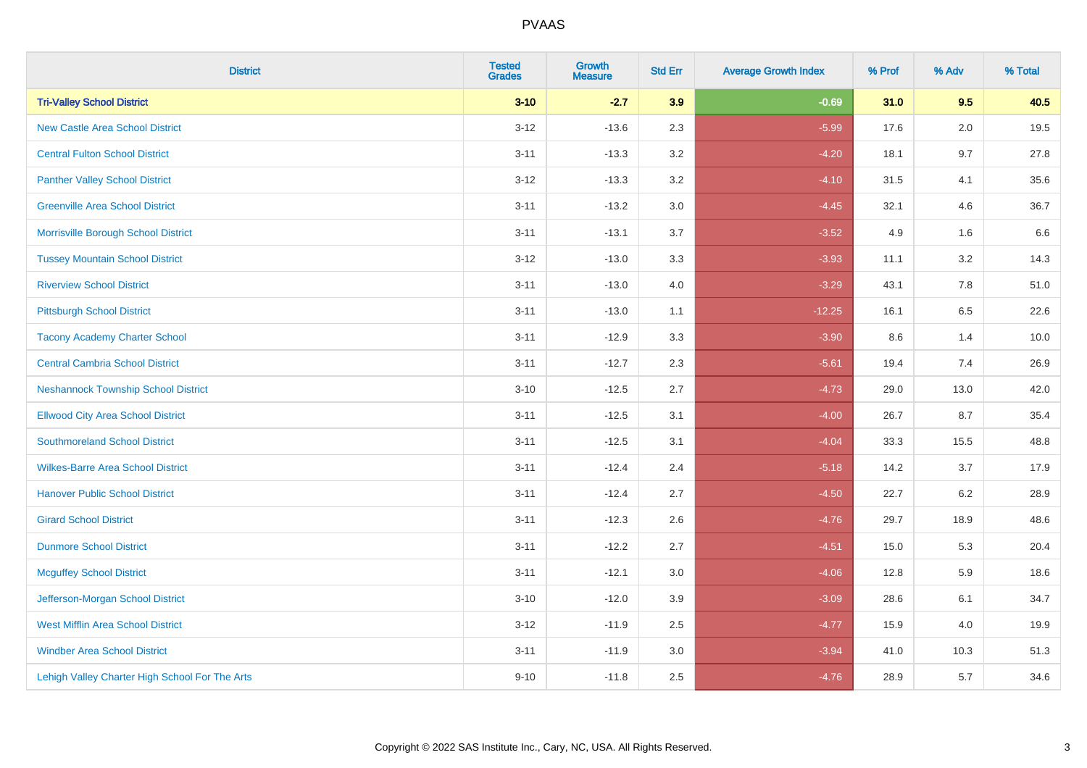| <b>District</b>                                | <b>Tested</b><br><b>Grades</b> | Growth<br><b>Measure</b> | <b>Std Err</b> | <b>Average Growth Index</b> | % Prof | % Adv   | % Total |
|------------------------------------------------|--------------------------------|--------------------------|----------------|-----------------------------|--------|---------|---------|
| <b>Tri-Valley School District</b>              | $3 - 10$                       | $-2.7$                   | 3.9            | $-0.69$                     | 31.0   | 9.5     | 40.5    |
| <b>New Castle Area School District</b>         | $3 - 12$                       | $-13.6$                  | 2.3            | $-5.99$                     | 17.6   | 2.0     | 19.5    |
| <b>Central Fulton School District</b>          | $3 - 11$                       | $-13.3$                  | 3.2            | $-4.20$                     | 18.1   | 9.7     | 27.8    |
| <b>Panther Valley School District</b>          | $3-12$                         | $-13.3$                  | 3.2            | $-4.10$                     | 31.5   | 4.1     | 35.6    |
| <b>Greenville Area School District</b>         | $3 - 11$                       | $-13.2$                  | 3.0            | $-4.45$                     | 32.1   | 4.6     | 36.7    |
| Morrisville Borough School District            | $3 - 11$                       | $-13.1$                  | 3.7            | $-3.52$                     | 4.9    | 1.6     | 6.6     |
| <b>Tussey Mountain School District</b>         | $3 - 12$                       | $-13.0$                  | 3.3            | $-3.93$                     | 11.1   | $3.2\,$ | 14.3    |
| <b>Riverview School District</b>               | $3 - 11$                       | $-13.0$                  | 4.0            | $-3.29$                     | 43.1   | 7.8     | 51.0    |
| <b>Pittsburgh School District</b>              | $3 - 11$                       | $-13.0$                  | 1.1            | $-12.25$                    | 16.1   | 6.5     | 22.6    |
| <b>Tacony Academy Charter School</b>           | $3 - 11$                       | $-12.9$                  | 3.3            | $-3.90$                     | 8.6    | 1.4     | 10.0    |
| <b>Central Cambria School District</b>         | $3 - 11$                       | $-12.7$                  | 2.3            | $-5.61$                     | 19.4   | 7.4     | 26.9    |
| <b>Neshannock Township School District</b>     | $3 - 10$                       | $-12.5$                  | 2.7            | $-4.73$                     | 29.0   | 13.0    | 42.0    |
| <b>Ellwood City Area School District</b>       | $3 - 11$                       | $-12.5$                  | 3.1            | $-4.00$                     | 26.7   | 8.7     | 35.4    |
| <b>Southmoreland School District</b>           | $3 - 11$                       | $-12.5$                  | 3.1            | $-4.04$                     | 33.3   | 15.5    | 48.8    |
| <b>Wilkes-Barre Area School District</b>       | $3 - 11$                       | $-12.4$                  | 2.4            | $-5.18$                     | 14.2   | 3.7     | 17.9    |
| <b>Hanover Public School District</b>          | $3 - 11$                       | $-12.4$                  | 2.7            | $-4.50$                     | 22.7   | 6.2     | 28.9    |
| <b>Girard School District</b>                  | $3 - 11$                       | $-12.3$                  | 2.6            | $-4.76$                     | 29.7   | 18.9    | 48.6    |
| <b>Dunmore School District</b>                 | $3 - 11$                       | $-12.2$                  | 2.7            | $-4.51$                     | 15.0   | 5.3     | 20.4    |
| <b>Mcguffey School District</b>                | $3 - 11$                       | $-12.1$                  | 3.0            | $-4.06$                     | 12.8   | 5.9     | 18.6    |
| Jefferson-Morgan School District               | $3 - 10$                       | $-12.0$                  | 3.9            | $-3.09$                     | 28.6   | 6.1     | 34.7    |
| <b>West Mifflin Area School District</b>       | $3-12$                         | $-11.9$                  | 2.5            | $-4.77$                     | 15.9   | 4.0     | 19.9    |
| <b>Windber Area School District</b>            | $3 - 11$                       | $-11.9$                  | 3.0            | $-3.94$                     | 41.0   | 10.3    | 51.3    |
| Lehigh Valley Charter High School For The Arts | $9 - 10$                       | $-11.8$                  | 2.5            | $-4.76$                     | 28.9   | 5.7     | 34.6    |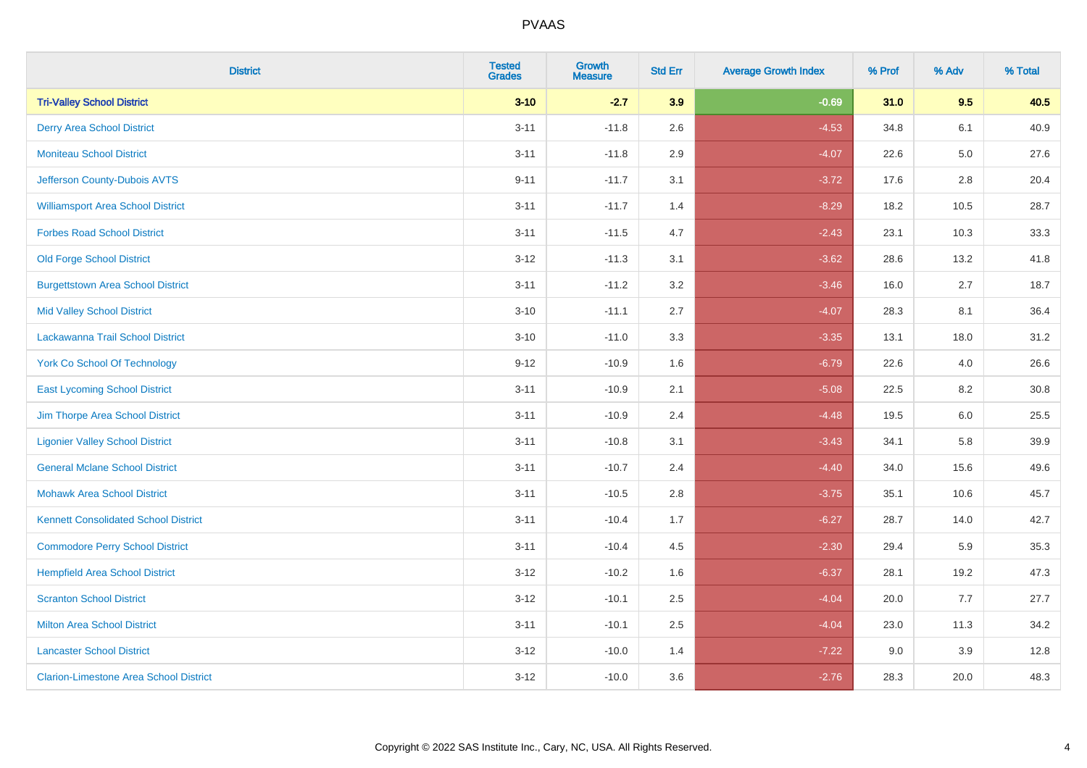| <b>District</b>                               | <b>Tested</b><br><b>Grades</b> | Growth<br><b>Measure</b> | <b>Std Err</b> | <b>Average Growth Index</b> | % Prof | % Adv   | % Total |
|-----------------------------------------------|--------------------------------|--------------------------|----------------|-----------------------------|--------|---------|---------|
| <b>Tri-Valley School District</b>             | $3 - 10$                       | $-2.7$                   | 3.9            | $-0.69$                     | 31.0   | 9.5     | 40.5    |
| <b>Derry Area School District</b>             | $3 - 11$                       | $-11.8$                  | 2.6            | $-4.53$                     | 34.8   | 6.1     | 40.9    |
| <b>Moniteau School District</b>               | $3 - 11$                       | $-11.8$                  | 2.9            | $-4.07$                     | 22.6   | $5.0\,$ | 27.6    |
| Jefferson County-Dubois AVTS                  | $9 - 11$                       | $-11.7$                  | 3.1            | $-3.72$                     | 17.6   | $2.8\,$ | 20.4    |
| <b>Williamsport Area School District</b>      | $3 - 11$                       | $-11.7$                  | 1.4            | $-8.29$                     | 18.2   | 10.5    | 28.7    |
| <b>Forbes Road School District</b>            | $3 - 11$                       | $-11.5$                  | 4.7            | $-2.43$                     | 23.1   | 10.3    | 33.3    |
| <b>Old Forge School District</b>              | $3 - 12$                       | $-11.3$                  | 3.1            | $-3.62$                     | 28.6   | 13.2    | 41.8    |
| <b>Burgettstown Area School District</b>      | $3 - 11$                       | $-11.2$                  | 3.2            | $-3.46$                     | 16.0   | 2.7     | 18.7    |
| <b>Mid Valley School District</b>             | $3 - 10$                       | $-11.1$                  | 2.7            | $-4.07$                     | 28.3   | 8.1     | 36.4    |
| Lackawanna Trail School District              | $3 - 10$                       | $-11.0$                  | 3.3            | $-3.35$                     | 13.1   | 18.0    | 31.2    |
| <b>York Co School Of Technology</b>           | $9 - 12$                       | $-10.9$                  | 1.6            | $-6.79$                     | 22.6   | 4.0     | 26.6    |
| <b>East Lycoming School District</b>          | $3 - 11$                       | $-10.9$                  | 2.1            | $-5.08$                     | 22.5   | 8.2     | 30.8    |
| Jim Thorpe Area School District               | $3 - 11$                       | $-10.9$                  | 2.4            | $-4.48$                     | 19.5   | 6.0     | 25.5    |
| <b>Ligonier Valley School District</b>        | $3 - 11$                       | $-10.8$                  | 3.1            | $-3.43$                     | 34.1   | 5.8     | 39.9    |
| <b>General Mclane School District</b>         | $3 - 11$                       | $-10.7$                  | 2.4            | $-4.40$                     | 34.0   | 15.6    | 49.6    |
| <b>Mohawk Area School District</b>            | $3 - 11$                       | $-10.5$                  | 2.8            | $-3.75$                     | 35.1   | 10.6    | 45.7    |
| <b>Kennett Consolidated School District</b>   | $3 - 11$                       | $-10.4$                  | 1.7            | $-6.27$                     | 28.7   | 14.0    | 42.7    |
| <b>Commodore Perry School District</b>        | $3 - 11$                       | $-10.4$                  | 4.5            | $-2.30$                     | 29.4   | 5.9     | 35.3    |
| <b>Hempfield Area School District</b>         | $3 - 12$                       | $-10.2$                  | 1.6            | $-6.37$                     | 28.1   | 19.2    | 47.3    |
| <b>Scranton School District</b>               | $3-12$                         | $-10.1$                  | 2.5            | $-4.04$                     | 20.0   | 7.7     | 27.7    |
| <b>Milton Area School District</b>            | $3 - 11$                       | $-10.1$                  | 2.5            | $-4.04$                     | 23.0   | 11.3    | 34.2    |
| <b>Lancaster School District</b>              | $3 - 12$                       | $-10.0$                  | 1.4            | $-7.22$                     | 9.0    | 3.9     | 12.8    |
| <b>Clarion-Limestone Area School District</b> | $3-12$                         | $-10.0$                  | 3.6            | $-2.76$                     | 28.3   | 20.0    | 48.3    |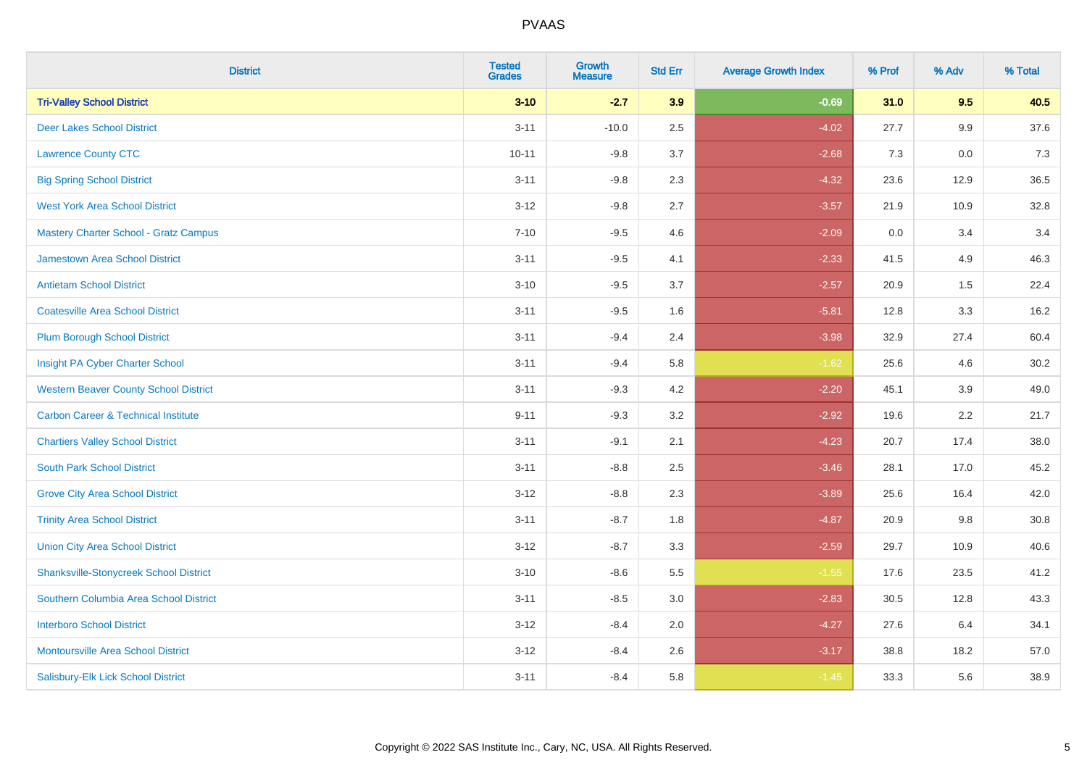| <b>District</b>                                | <b>Tested</b><br><b>Grades</b> | Growth<br><b>Measure</b> | <b>Std Err</b> | <b>Average Growth Index</b> | % Prof | % Adv | % Total |
|------------------------------------------------|--------------------------------|--------------------------|----------------|-----------------------------|--------|-------|---------|
| <b>Tri-Valley School District</b>              | $3 - 10$                       | $-2.7$                   | 3.9            | $-0.69$                     | 31.0   | 9.5   | 40.5    |
| <b>Deer Lakes School District</b>              | $3 - 11$                       | $-10.0$                  | 2.5            | $-4.02$                     | 27.7   | 9.9   | 37.6    |
| <b>Lawrence County CTC</b>                     | $10 - 11$                      | $-9.8$                   | 3.7            | $-2.68$                     | 7.3    | 0.0   | 7.3     |
| <b>Big Spring School District</b>              | $3 - 11$                       | $-9.8$                   | 2.3            | $-4.32$                     | 23.6   | 12.9  | 36.5    |
| <b>West York Area School District</b>          | $3 - 12$                       | $-9.8$                   | 2.7            | $-3.57$                     | 21.9   | 10.9  | 32.8    |
| <b>Mastery Charter School - Gratz Campus</b>   | $7 - 10$                       | $-9.5$                   | 4.6            | $-2.09$                     | 0.0    | 3.4   | 3.4     |
| Jamestown Area School District                 | $3 - 11$                       | $-9.5$                   | 4.1            | $-2.33$                     | 41.5   | 4.9   | 46.3    |
| <b>Antietam School District</b>                | $3 - 10$                       | $-9.5$                   | 3.7            | $-2.57$                     | 20.9   | 1.5   | 22.4    |
| <b>Coatesville Area School District</b>        | $3 - 11$                       | $-9.5$                   | 1.6            | $-5.81$                     | 12.8   | 3.3   | 16.2    |
| <b>Plum Borough School District</b>            | $3 - 11$                       | $-9.4$                   | 2.4            | $-3.98$                     | 32.9   | 27.4  | 60.4    |
| Insight PA Cyber Charter School                | $3 - 11$                       | $-9.4$                   | 5.8            | $-1.62$                     | 25.6   | 4.6   | 30.2    |
| <b>Western Beaver County School District</b>   | $3 - 11$                       | $-9.3$                   | 4.2            | $-2.20$                     | 45.1   | 3.9   | 49.0    |
| <b>Carbon Career &amp; Technical Institute</b> | $9 - 11$                       | $-9.3$                   | 3.2            | $-2.92$                     | 19.6   | 2.2   | 21.7    |
| <b>Chartiers Valley School District</b>        | $3 - 11$                       | $-9.1$                   | 2.1            | $-4.23$                     | 20.7   | 17.4  | 38.0    |
| <b>South Park School District</b>              | $3 - 11$                       | $-8.8$                   | 2.5            | $-3.46$                     | 28.1   | 17.0  | 45.2    |
| <b>Grove City Area School District</b>         | $3 - 12$                       | $-8.8$                   | 2.3            | $-3.89$                     | 25.6   | 16.4  | 42.0    |
| <b>Trinity Area School District</b>            | $3 - 11$                       | $-8.7$                   | 1.8            | $-4.87$                     | 20.9   | 9.8   | 30.8    |
| <b>Union City Area School District</b>         | $3-12$                         | $-8.7$                   | 3.3            | $-2.59$                     | 29.7   | 10.9  | 40.6    |
| <b>Shanksville-Stonycreek School District</b>  | $3 - 10$                       | $-8.6$                   | 5.5            | $-1.55$                     | 17.6   | 23.5  | 41.2    |
| Southern Columbia Area School District         | $3 - 11$                       | $-8.5$                   | 3.0            | $-2.83$                     | 30.5   | 12.8  | 43.3    |
| <b>Interboro School District</b>               | $3 - 12$                       | $-8.4$                   | 2.0            | $-4.27$                     | 27.6   | 6.4   | 34.1    |
| <b>Montoursville Area School District</b>      | $3 - 12$                       | $-8.4$                   | 2.6            | $-3.17$                     | 38.8   | 18.2  | 57.0    |
| Salisbury-Elk Lick School District             | $3 - 11$                       | $-8.4$                   | 5.8            | $-1.45$                     | 33.3   | 5.6   | 38.9    |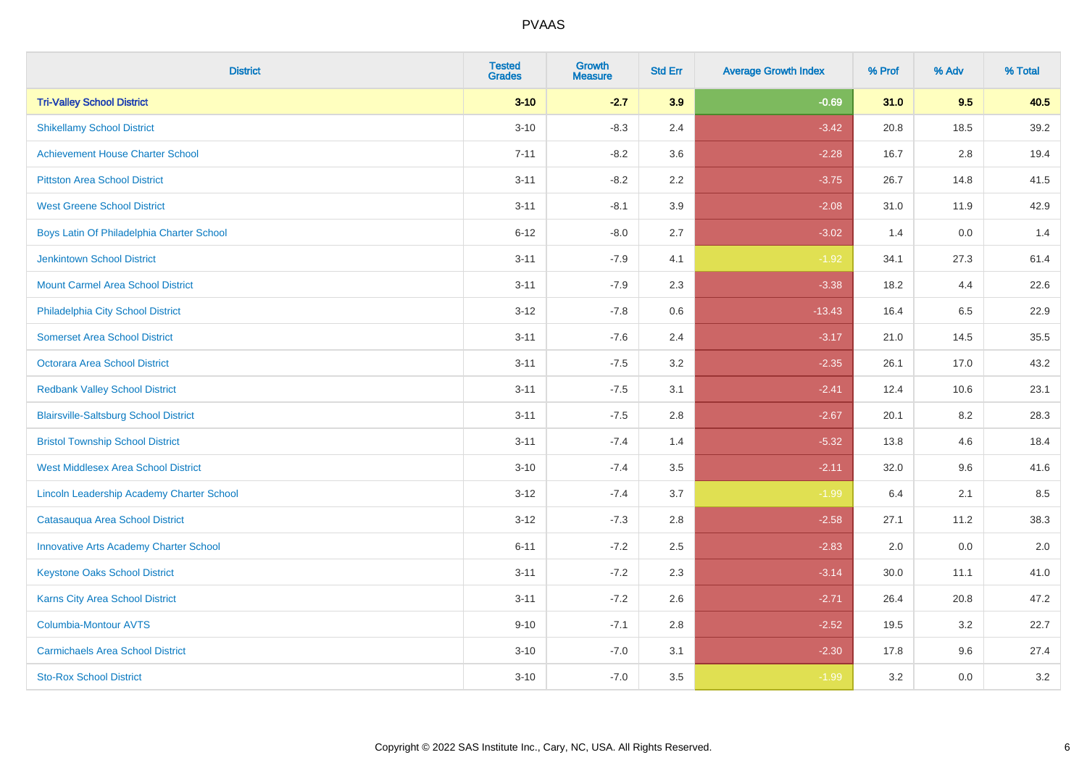| <b>District</b>                               | <b>Tested</b><br><b>Grades</b> | Growth<br><b>Measure</b> | <b>Std Err</b> | <b>Average Growth Index</b> | % Prof | % Adv | % Total |
|-----------------------------------------------|--------------------------------|--------------------------|----------------|-----------------------------|--------|-------|---------|
| <b>Tri-Valley School District</b>             | $3 - 10$                       | $-2.7$                   | 3.9            | $-0.69$                     | 31.0   | 9.5   | 40.5    |
| <b>Shikellamy School District</b>             | $3 - 10$                       | $-8.3$                   | 2.4            | $-3.42$                     | 20.8   | 18.5  | 39.2    |
| <b>Achievement House Charter School</b>       | $7 - 11$                       | $-8.2$                   | 3.6            | $-2.28$                     | 16.7   | 2.8   | 19.4    |
| <b>Pittston Area School District</b>          | $3 - 11$                       | $-8.2$                   | 2.2            | $-3.75$                     | 26.7   | 14.8  | 41.5    |
| <b>West Greene School District</b>            | $3 - 11$                       | $-8.1$                   | 3.9            | $-2.08$                     | 31.0   | 11.9  | 42.9    |
| Boys Latin Of Philadelphia Charter School     | $6 - 12$                       | $-8.0$                   | 2.7            | $-3.02$                     | 1.4    | 0.0   | 1.4     |
| Jenkintown School District                    | $3 - 11$                       | $-7.9$                   | 4.1            | $-1.92$                     | 34.1   | 27.3  | 61.4    |
| <b>Mount Carmel Area School District</b>      | $3 - 11$                       | $-7.9$                   | 2.3            | $-3.38$                     | 18.2   | 4.4   | 22.6    |
| Philadelphia City School District             | $3 - 12$                       | $-7.8$                   | 0.6            | $-13.43$                    | 16.4   | 6.5   | 22.9    |
| <b>Somerset Area School District</b>          | $3 - 11$                       | $-7.6$                   | 2.4            | $-3.17$                     | 21.0   | 14.5  | 35.5    |
| <b>Octorara Area School District</b>          | $3 - 11$                       | $-7.5$                   | 3.2            | $-2.35$                     | 26.1   | 17.0  | 43.2    |
| <b>Redbank Valley School District</b>         | $3 - 11$                       | $-7.5$                   | 3.1            | $-2.41$                     | 12.4   | 10.6  | 23.1    |
| <b>Blairsville-Saltsburg School District</b>  | $3 - 11$                       | $-7.5$                   | 2.8            | $-2.67$                     | 20.1   | 8.2   | 28.3    |
| <b>Bristol Township School District</b>       | $3 - 11$                       | $-7.4$                   | 1.4            | $-5.32$                     | 13.8   | 4.6   | 18.4    |
| <b>West Middlesex Area School District</b>    | $3 - 10$                       | $-7.4$                   | 3.5            | $-2.11$                     | 32.0   | 9.6   | 41.6    |
| Lincoln Leadership Academy Charter School     | $3 - 12$                       | $-7.4$                   | 3.7            | $-1.99$                     | 6.4    | 2.1   | 8.5     |
| Catasauqua Area School District               | $3 - 12$                       | $-7.3$                   | 2.8            | $-2.58$                     | 27.1   | 11.2  | 38.3    |
| <b>Innovative Arts Academy Charter School</b> | $6 - 11$                       | $-7.2$                   | 2.5            | $-2.83$                     | 2.0    | 0.0   | $2.0\,$ |
| <b>Keystone Oaks School District</b>          | $3 - 11$                       | $-7.2$                   | 2.3            | $-3.14$                     | 30.0   | 11.1  | 41.0    |
| <b>Karns City Area School District</b>        | $3 - 11$                       | $-7.2$                   | 2.6            | $-2.71$                     | 26.4   | 20.8  | 47.2    |
| Columbia-Montour AVTS                         | $9 - 10$                       | $-7.1$                   | 2.8            | $-2.52$                     | 19.5   | 3.2   | 22.7    |
| <b>Carmichaels Area School District</b>       | $3 - 10$                       | $-7.0$                   | 3.1            | $-2.30$                     | 17.8   | 9.6   | 27.4    |
| <b>Sto-Rox School District</b>                | $3 - 10$                       | $-7.0$                   | 3.5            | $-1.99$                     | 3.2    | 0.0   | 3.2     |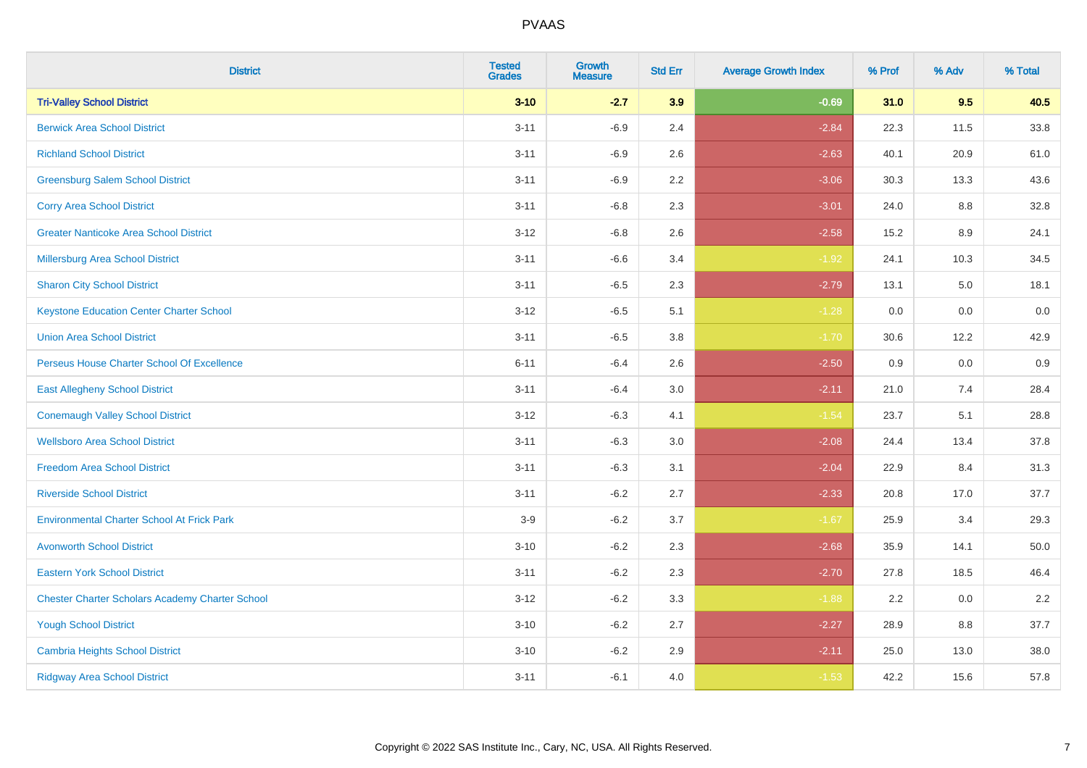| <b>District</b>                                        | <b>Tested</b><br><b>Grades</b> | Growth<br><b>Measure</b> | <b>Std Err</b> | <b>Average Growth Index</b> | % Prof | % Adv | % Total |
|--------------------------------------------------------|--------------------------------|--------------------------|----------------|-----------------------------|--------|-------|---------|
| <b>Tri-Valley School District</b>                      | $3 - 10$                       | $-2.7$                   | 3.9            | $-0.69$                     | 31.0   | 9.5   | 40.5    |
| <b>Berwick Area School District</b>                    | $3 - 11$                       | $-6.9$                   | 2.4            | $-2.84$                     | 22.3   | 11.5  | 33.8    |
| <b>Richland School District</b>                        | $3 - 11$                       | $-6.9$                   | 2.6            | $-2.63$                     | 40.1   | 20.9  | 61.0    |
| <b>Greensburg Salem School District</b>                | $3 - 11$                       | $-6.9$                   | $2.2\,$        | $-3.06$                     | 30.3   | 13.3  | 43.6    |
| <b>Corry Area School District</b>                      | $3 - 11$                       | $-6.8$                   | 2.3            | $-3.01$                     | 24.0   | 8.8   | 32.8    |
| <b>Greater Nanticoke Area School District</b>          | $3 - 12$                       | $-6.8$                   | 2.6            | $-2.58$                     | 15.2   | 8.9   | 24.1    |
| <b>Millersburg Area School District</b>                | $3 - 11$                       | $-6.6$                   | 3.4            | $-1.92$                     | 24.1   | 10.3  | 34.5    |
| <b>Sharon City School District</b>                     | $3 - 11$                       | $-6.5$                   | 2.3            | $-2.79$                     | 13.1   | 5.0   | 18.1    |
| <b>Keystone Education Center Charter School</b>        | $3 - 12$                       | $-6.5$                   | 5.1            | $-1.28$                     | 0.0    | 0.0   | 0.0     |
| <b>Union Area School District</b>                      | $3 - 11$                       | $-6.5$                   | 3.8            | $-1.70$                     | 30.6   | 12.2  | 42.9    |
| Perseus House Charter School Of Excellence             | $6 - 11$                       | $-6.4$                   | 2.6            | $-2.50$                     | 0.9    | 0.0   | 0.9     |
| <b>East Allegheny School District</b>                  | $3 - 11$                       | $-6.4$                   | 3.0            | $-2.11$                     | 21.0   | 7.4   | 28.4    |
| <b>Conemaugh Valley School District</b>                | $3 - 12$                       | $-6.3$                   | 4.1            | $-1.54$                     | 23.7   | 5.1   | 28.8    |
| <b>Wellsboro Area School District</b>                  | $3 - 11$                       | $-6.3$                   | 3.0            | $-2.08$                     | 24.4   | 13.4  | 37.8    |
| <b>Freedom Area School District</b>                    | $3 - 11$                       | $-6.3$                   | 3.1            | $-2.04$                     | 22.9   | 8.4   | 31.3    |
| <b>Riverside School District</b>                       | $3 - 11$                       | $-6.2$                   | 2.7            | $-2.33$                     | 20.8   | 17.0  | 37.7    |
| <b>Environmental Charter School At Frick Park</b>      | $3-9$                          | $-6.2$                   | 3.7            | $-1.67$                     | 25.9   | 3.4   | 29.3    |
| <b>Avonworth School District</b>                       | $3 - 10$                       | $-6.2$                   | 2.3            | $-2.68$                     | 35.9   | 14.1  | 50.0    |
| <b>Eastern York School District</b>                    | $3 - 11$                       | $-6.2$                   | 2.3            | $-2.70$                     | 27.8   | 18.5  | 46.4    |
| <b>Chester Charter Scholars Academy Charter School</b> | $3 - 12$                       | $-6.2$                   | 3.3            | $-1.88$                     | 2.2    | 0.0   | 2.2     |
| <b>Yough School District</b>                           | $3 - 10$                       | $-6.2$                   | 2.7            | $-2.27$                     | 28.9   | 8.8   | 37.7    |
| <b>Cambria Heights School District</b>                 | $3 - 10$                       | $-6.2$                   | 2.9            | $-2.11$                     | 25.0   | 13.0  | 38.0    |
| <b>Ridgway Area School District</b>                    | $3 - 11$                       | $-6.1$                   | 4.0            | $-1.53$                     | 42.2   | 15.6  | 57.8    |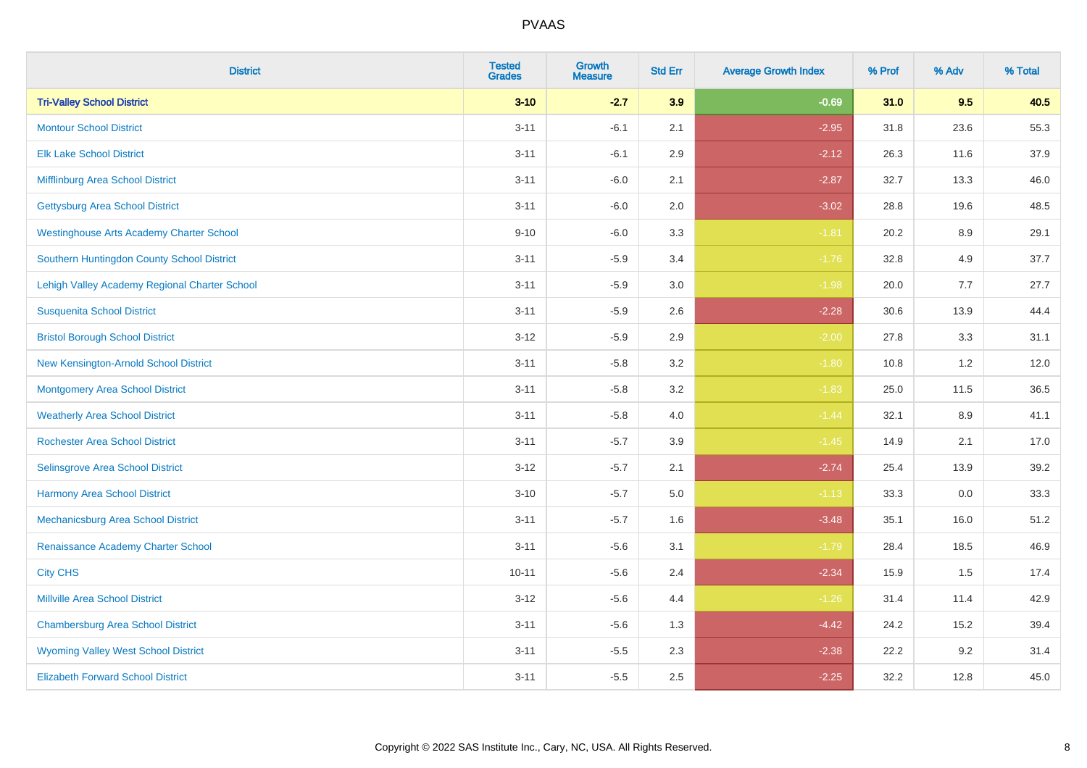| <b>District</b>                                 | <b>Tested</b><br><b>Grades</b> | Growth<br><b>Measure</b> | <b>Std Err</b> | <b>Average Growth Index</b> | % Prof | % Adv | % Total |
|-------------------------------------------------|--------------------------------|--------------------------|----------------|-----------------------------|--------|-------|---------|
| <b>Tri-Valley School District</b>               | $3 - 10$                       | $-2.7$                   | 3.9            | $-0.69$                     | 31.0   | 9.5   | 40.5    |
| <b>Montour School District</b>                  | $3 - 11$                       | $-6.1$                   | 2.1            | $-2.95$                     | 31.8   | 23.6  | 55.3    |
| <b>Elk Lake School District</b>                 | $3 - 11$                       | $-6.1$                   | 2.9            | $-2.12$                     | 26.3   | 11.6  | 37.9    |
| Mifflinburg Area School District                | $3 - 11$                       | $-6.0$                   | 2.1            | $-2.87$                     | 32.7   | 13.3  | 46.0    |
| <b>Gettysburg Area School District</b>          | $3 - 11$                       | $-6.0$                   | 2.0            | $-3.02$                     | 28.8   | 19.6  | 48.5    |
| <b>Westinghouse Arts Academy Charter School</b> | $9 - 10$                       | $-6.0$                   | 3.3            | $-1.81$                     | 20.2   | 8.9   | 29.1    |
| Southern Huntingdon County School District      | $3 - 11$                       | $-5.9$                   | 3.4            | $-1.76$                     | 32.8   | 4.9   | 37.7    |
| Lehigh Valley Academy Regional Charter School   | $3 - 11$                       | $-5.9$                   | 3.0            | $-1.98$                     | 20.0   | 7.7   | 27.7    |
| <b>Susquenita School District</b>               | $3 - 11$                       | $-5.9$                   | 2.6            | $-2.28$                     | 30.6   | 13.9  | 44.4    |
| <b>Bristol Borough School District</b>          | $3 - 12$                       | $-5.9$                   | 2.9            | $-2.00$                     | 27.8   | 3.3   | 31.1    |
| New Kensington-Arnold School District           | $3 - 11$                       | $-5.8$                   | 3.2            | $-1.80$                     | 10.8   | 1.2   | 12.0    |
| Montgomery Area School District                 | $3 - 11$                       | $-5.8$                   | 3.2            | $-1.83$                     | 25.0   | 11.5  | 36.5    |
| <b>Weatherly Area School District</b>           | $3 - 11$                       | $-5.8$                   | 4.0            | $-1.44$                     | 32.1   | 8.9   | 41.1    |
| <b>Rochester Area School District</b>           | $3 - 11$                       | $-5.7$                   | 3.9            | $-1.45$                     | 14.9   | 2.1   | 17.0    |
| Selinsgrove Area School District                | $3 - 12$                       | $-5.7$                   | 2.1            | $-2.74$                     | 25.4   | 13.9  | 39.2    |
| <b>Harmony Area School District</b>             | $3 - 10$                       | $-5.7$                   | 5.0            | $-1.13$                     | 33.3   | 0.0   | 33.3    |
| Mechanicsburg Area School District              | $3 - 11$                       | $-5.7$                   | 1.6            | $-3.48$                     | 35.1   | 16.0  | 51.2    |
| Renaissance Academy Charter School              | $3 - 11$                       | $-5.6$                   | 3.1            | $-1.79$                     | 28.4   | 18.5  | 46.9    |
| <b>City CHS</b>                                 | $10 - 11$                      | $-5.6$                   | 2.4            | $-2.34$                     | 15.9   | 1.5   | 17.4    |
| <b>Millville Area School District</b>           | $3 - 12$                       | $-5.6$                   | 4.4            | $-1.26$                     | 31.4   | 11.4  | 42.9    |
| <b>Chambersburg Area School District</b>        | $3 - 11$                       | $-5.6$                   | 1.3            | $-4.42$                     | 24.2   | 15.2  | 39.4    |
| <b>Wyoming Valley West School District</b>      | $3 - 11$                       | $-5.5$                   | 2.3            | $-2.38$                     | 22.2   | 9.2   | 31.4    |
| <b>Elizabeth Forward School District</b>        | $3 - 11$                       | $-5.5$                   | 2.5            | $-2.25$                     | 32.2   | 12.8  | 45.0    |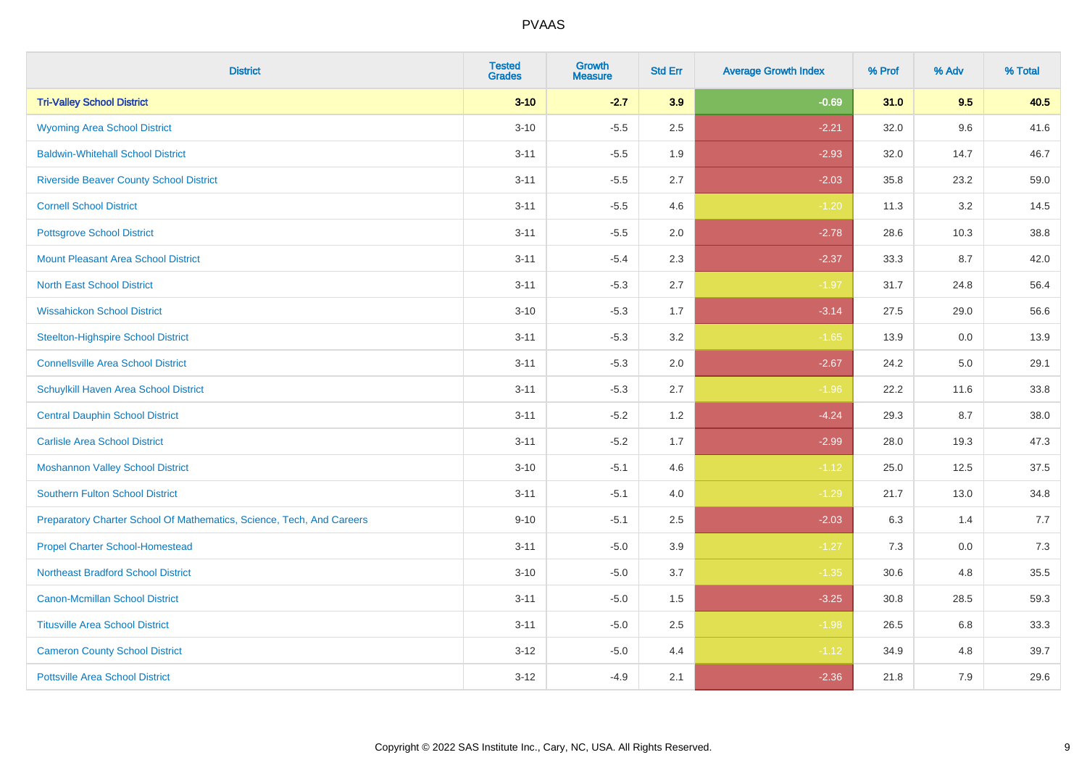| <b>District</b>                                                       | <b>Tested</b><br><b>Grades</b> | Growth<br><b>Measure</b> | <b>Std Err</b> | <b>Average Growth Index</b> | % Prof | % Adv | % Total |
|-----------------------------------------------------------------------|--------------------------------|--------------------------|----------------|-----------------------------|--------|-------|---------|
| <b>Tri-Valley School District</b>                                     | $3 - 10$                       | $-2.7$                   | 3.9            | $-0.69$                     | 31.0   | 9.5   | 40.5    |
| <b>Wyoming Area School District</b>                                   | $3 - 10$                       | $-5.5$                   | 2.5            | $-2.21$                     | 32.0   | 9.6   | 41.6    |
| <b>Baldwin-Whitehall School District</b>                              | $3 - 11$                       | $-5.5$                   | 1.9            | $-2.93$                     | 32.0   | 14.7  | 46.7    |
| <b>Riverside Beaver County School District</b>                        | $3 - 11$                       | $-5.5$                   | 2.7            | $-2.03$                     | 35.8   | 23.2  | 59.0    |
| <b>Cornell School District</b>                                        | $3 - 11$                       | $-5.5$                   | 4.6            | $-1.20$                     | 11.3   | 3.2   | 14.5    |
| <b>Pottsgrove School District</b>                                     | $3 - 11$                       | $-5.5$                   | 2.0            | $-2.78$                     | 28.6   | 10.3  | 38.8    |
| <b>Mount Pleasant Area School District</b>                            | $3 - 11$                       | $-5.4$                   | 2.3            | $-2.37$                     | 33.3   | 8.7   | 42.0    |
| <b>North East School District</b>                                     | $3 - 11$                       | $-5.3$                   | 2.7            | $-1.97$                     | 31.7   | 24.8  | 56.4    |
| <b>Wissahickon School District</b>                                    | $3 - 10$                       | $-5.3$                   | 1.7            | $-3.14$                     | 27.5   | 29.0  | 56.6    |
| <b>Steelton-Highspire School District</b>                             | $3 - 11$                       | $-5.3$                   | 3.2            | $-1.65$                     | 13.9   | 0.0   | 13.9    |
| <b>Connellsville Area School District</b>                             | $3 - 11$                       | $-5.3$                   | 2.0            | $-2.67$                     | 24.2   | 5.0   | 29.1    |
| Schuylkill Haven Area School District                                 | $3 - 11$                       | $-5.3$                   | 2.7            | $-1.96$                     | 22.2   | 11.6  | 33.8    |
| <b>Central Dauphin School District</b>                                | $3 - 11$                       | $-5.2$                   | 1.2            | $-4.24$                     | 29.3   | 8.7   | 38.0    |
| <b>Carlisle Area School District</b>                                  | $3 - 11$                       | $-5.2$                   | 1.7            | $-2.99$                     | 28.0   | 19.3  | 47.3    |
| <b>Moshannon Valley School District</b>                               | $3 - 10$                       | $-5.1$                   | 4.6            | $-1.12$                     | 25.0   | 12.5  | 37.5    |
| <b>Southern Fulton School District</b>                                | $3 - 11$                       | $-5.1$                   | 4.0            | $-1.29$                     | 21.7   | 13.0  | 34.8    |
| Preparatory Charter School Of Mathematics, Science, Tech, And Careers | $9 - 10$                       | $-5.1$                   | 2.5            | $-2.03$                     | 6.3    | 1.4   | 7.7     |
| <b>Propel Charter School-Homestead</b>                                | $3 - 11$                       | $-5.0$                   | 3.9            | $-1.27$                     | 7.3    | 0.0   | 7.3     |
| <b>Northeast Bradford School District</b>                             | $3 - 10$                       | $-5.0$                   | 3.7            | $-1.35$                     | 30.6   | 4.8   | 35.5    |
| <b>Canon-Mcmillan School District</b>                                 | $3 - 11$                       | $-5.0$                   | 1.5            | $-3.25$                     | 30.8   | 28.5  | 59.3    |
| <b>Titusville Area School District</b>                                | $3 - 11$                       | $-5.0$                   | 2.5            | $-1.98$                     | 26.5   | 6.8   | 33.3    |
| <b>Cameron County School District</b>                                 | $3 - 12$                       | $-5.0$                   | 4.4            | $-1.12$                     | 34.9   | 4.8   | 39.7    |
| <b>Pottsville Area School District</b>                                | $3 - 12$                       | $-4.9$                   | 2.1            | $-2.36$                     | 21.8   | 7.9   | 29.6    |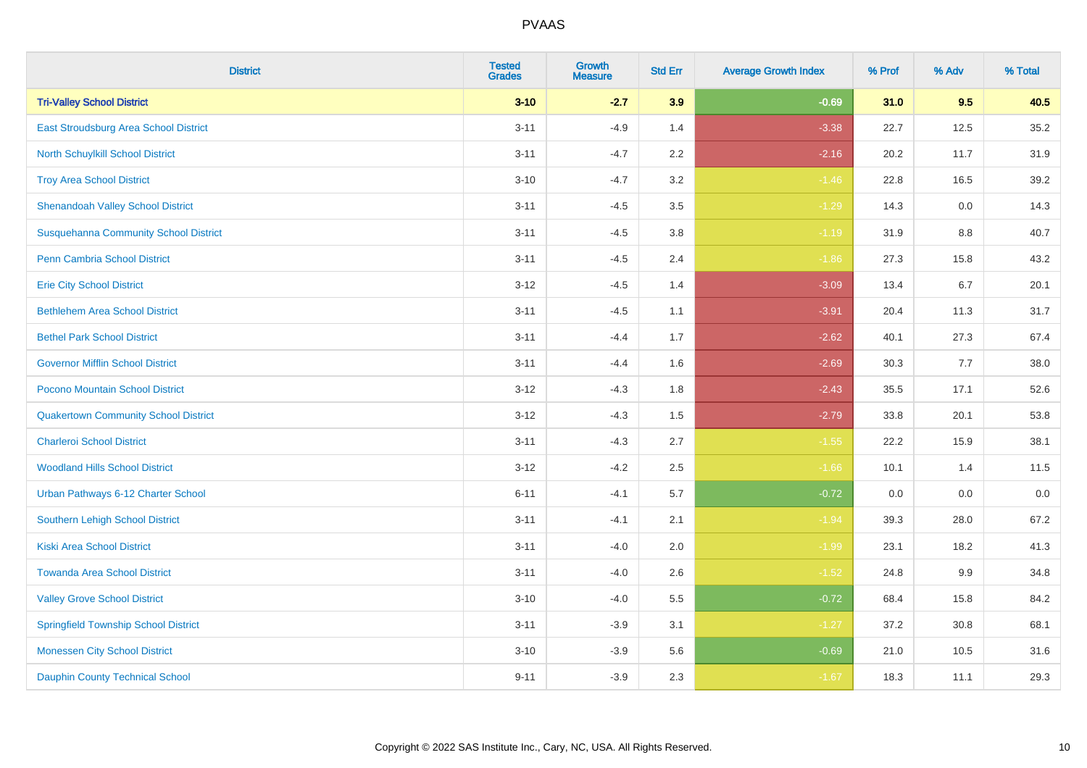| <b>District</b>                              | <b>Tested</b><br><b>Grades</b> | <b>Growth</b><br><b>Measure</b> | <b>Std Err</b> | <b>Average Growth Index</b> | % Prof | % Adv | % Total |
|----------------------------------------------|--------------------------------|---------------------------------|----------------|-----------------------------|--------|-------|---------|
| <b>Tri-Valley School District</b>            | $3 - 10$                       | $-2.7$                          | 3.9            | $-0.69$                     | 31.0   | 9.5   | 40.5    |
| East Stroudsburg Area School District        | $3 - 11$                       | $-4.9$                          | 1.4            | $-3.38$                     | 22.7   | 12.5  | 35.2    |
| North Schuylkill School District             | $3 - 11$                       | $-4.7$                          | 2.2            | $-2.16$                     | 20.2   | 11.7  | 31.9    |
| <b>Troy Area School District</b>             | $3 - 10$                       | $-4.7$                          | 3.2            | $-1.46$                     | 22.8   | 16.5  | 39.2    |
| <b>Shenandoah Valley School District</b>     | $3 - 11$                       | $-4.5$                          | 3.5            | $-1.29$                     | 14.3   | 0.0   | 14.3    |
| <b>Susquehanna Community School District</b> | $3 - 11$                       | $-4.5$                          | 3.8            | $-1.19$                     | 31.9   | 8.8   | 40.7    |
| Penn Cambria School District                 | $3 - 11$                       | $-4.5$                          | 2.4            | $-1.86$                     | 27.3   | 15.8  | 43.2    |
| <b>Erie City School District</b>             | $3 - 12$                       | $-4.5$                          | 1.4            | $-3.09$                     | 13.4   | 6.7   | 20.1    |
| <b>Bethlehem Area School District</b>        | $3 - 11$                       | $-4.5$                          | 1.1            | $-3.91$                     | 20.4   | 11.3  | 31.7    |
| <b>Bethel Park School District</b>           | $3 - 11$                       | $-4.4$                          | 1.7            | $-2.62$                     | 40.1   | 27.3  | 67.4    |
| <b>Governor Mifflin School District</b>      | $3 - 11$                       | $-4.4$                          | 1.6            | $-2.69$                     | 30.3   | 7.7   | 38.0    |
| Pocono Mountain School District              | $3 - 12$                       | $-4.3$                          | 1.8            | $-2.43$                     | 35.5   | 17.1  | 52.6    |
| <b>Quakertown Community School District</b>  | $3 - 12$                       | $-4.3$                          | 1.5            | $-2.79$                     | 33.8   | 20.1  | 53.8    |
| <b>Charleroi School District</b>             | $3 - 11$                       | $-4.3$                          | 2.7            | $-1.55$                     | 22.2   | 15.9  | 38.1    |
| <b>Woodland Hills School District</b>        | $3 - 12$                       | $-4.2$                          | 2.5            | $-1.66$                     | 10.1   | 1.4   | 11.5    |
| Urban Pathways 6-12 Charter School           | $6 - 11$                       | $-4.1$                          | 5.7            | $-0.72$                     | 0.0    | 0.0   | 0.0     |
| Southern Lehigh School District              | $3 - 11$                       | $-4.1$                          | 2.1            | $-1.94$                     | 39.3   | 28.0  | 67.2    |
| <b>Kiski Area School District</b>            | $3 - 11$                       | $-4.0$                          | 2.0            | $-1.99$                     | 23.1   | 18.2  | 41.3    |
| <b>Towanda Area School District</b>          | $3 - 11$                       | $-4.0$                          | 2.6            | $-1.52$                     | 24.8   | 9.9   | 34.8    |
| <b>Valley Grove School District</b>          | $3 - 10$                       | $-4.0$                          | 5.5            | $-0.72$                     | 68.4   | 15.8  | 84.2    |
| <b>Springfield Township School District</b>  | $3 - 11$                       | $-3.9$                          | 3.1            | $-1.27$                     | 37.2   | 30.8  | 68.1    |
| <b>Monessen City School District</b>         | $3 - 10$                       | $-3.9$                          | 5.6            | $-0.69$                     | 21.0   | 10.5  | 31.6    |
| <b>Dauphin County Technical School</b>       | $9 - 11$                       | $-3.9$                          | 2.3            | $-1.67$                     | 18.3   | 11.1  | 29.3    |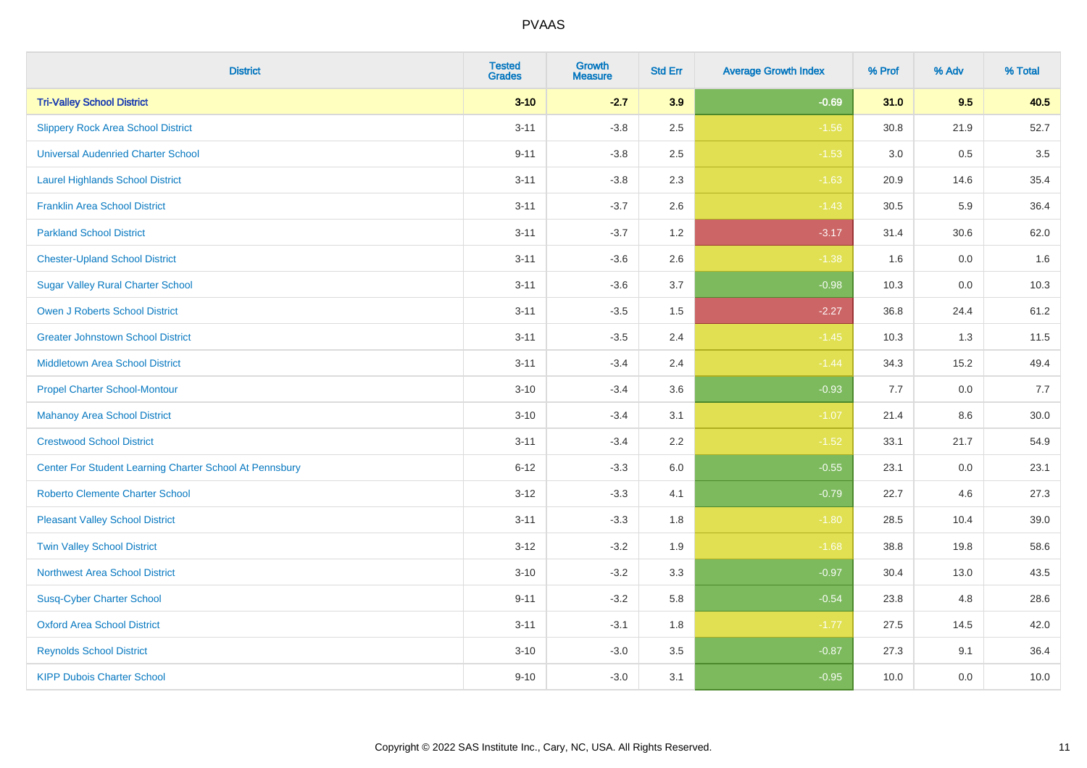| <b>District</b>                                         | <b>Tested</b><br><b>Grades</b> | Growth<br><b>Measure</b> | <b>Std Err</b> | <b>Average Growth Index</b> | % Prof | % Adv   | % Total |
|---------------------------------------------------------|--------------------------------|--------------------------|----------------|-----------------------------|--------|---------|---------|
| <b>Tri-Valley School District</b>                       | $3 - 10$                       | $-2.7$                   | 3.9            | $-0.69$                     | 31.0   | 9.5     | 40.5    |
| <b>Slippery Rock Area School District</b>               | $3 - 11$                       | $-3.8$                   | 2.5            | $-1.56$                     | 30.8   | 21.9    | 52.7    |
| <b>Universal Audenried Charter School</b>               | $9 - 11$                       | $-3.8$                   | 2.5            | $-1.53$                     | 3.0    | 0.5     | 3.5     |
| <b>Laurel Highlands School District</b>                 | $3 - 11$                       | $-3.8$                   | 2.3            | $-1.63$                     | 20.9   | 14.6    | 35.4    |
| <b>Franklin Area School District</b>                    | $3 - 11$                       | $-3.7$                   | 2.6            | $-1.43$                     | 30.5   | 5.9     | 36.4    |
| <b>Parkland School District</b>                         | $3 - 11$                       | $-3.7$                   | 1.2            | $-3.17$                     | 31.4   | 30.6    | 62.0    |
| <b>Chester-Upland School District</b>                   | $3 - 11$                       | $-3.6$                   | 2.6            | $-1.38$                     | 1.6    | $0.0\,$ | 1.6     |
| <b>Sugar Valley Rural Charter School</b>                | $3 - 11$                       | $-3.6$                   | 3.7            | $-0.98$                     | 10.3   | 0.0     | 10.3    |
| <b>Owen J Roberts School District</b>                   | $3 - 11$                       | $-3.5$                   | 1.5            | $-2.27$                     | 36.8   | 24.4    | 61.2    |
| <b>Greater Johnstown School District</b>                | $3 - 11$                       | $-3.5$                   | 2.4            | $-1.45$                     | 10.3   | 1.3     | 11.5    |
| Middletown Area School District                         | $3 - 11$                       | $-3.4$                   | 2.4            | $-1.44$                     | 34.3   | 15.2    | 49.4    |
| <b>Propel Charter School-Montour</b>                    | $3 - 10$                       | $-3.4$                   | 3.6            | $-0.93$                     | 7.7    | 0.0     | 7.7     |
| <b>Mahanoy Area School District</b>                     | $3 - 10$                       | $-3.4$                   | 3.1            | $-1.07$                     | 21.4   | $8.6\,$ | 30.0    |
| <b>Crestwood School District</b>                        | $3 - 11$                       | $-3.4$                   | 2.2            | $-1.52$                     | 33.1   | 21.7    | 54.9    |
| Center For Student Learning Charter School At Pennsbury | $6 - 12$                       | $-3.3$                   | 6.0            | $-0.55$                     | 23.1   | 0.0     | 23.1    |
| <b>Roberto Clemente Charter School</b>                  | $3-12$                         | $-3.3$                   | 4.1            | $-0.79$                     | 22.7   | 4.6     | 27.3    |
| <b>Pleasant Valley School District</b>                  | $3 - 11$                       | $-3.3$                   | 1.8            | $-1.80$                     | 28.5   | 10.4    | 39.0    |
| <b>Twin Valley School District</b>                      | $3 - 12$                       | $-3.2$                   | 1.9            | $-1.68$                     | 38.8   | 19.8    | 58.6    |
| <b>Northwest Area School District</b>                   | $3 - 10$                       | $-3.2$                   | 3.3            | $-0.97$                     | 30.4   | 13.0    | 43.5    |
| <b>Susq-Cyber Charter School</b>                        | $9 - 11$                       | $-3.2$                   | 5.8            | $-0.54$                     | 23.8   | 4.8     | 28.6    |
| <b>Oxford Area School District</b>                      | $3 - 11$                       | $-3.1$                   | 1.8            | $-1.77$                     | 27.5   | 14.5    | 42.0    |
| <b>Reynolds School District</b>                         | $3 - 10$                       | $-3.0$                   | 3.5            | $-0.87$                     | 27.3   | 9.1     | 36.4    |
| <b>KIPP Dubois Charter School</b>                       | $9 - 10$                       | $-3.0$                   | 3.1            | $-0.95$                     | 10.0   | 0.0     | 10.0    |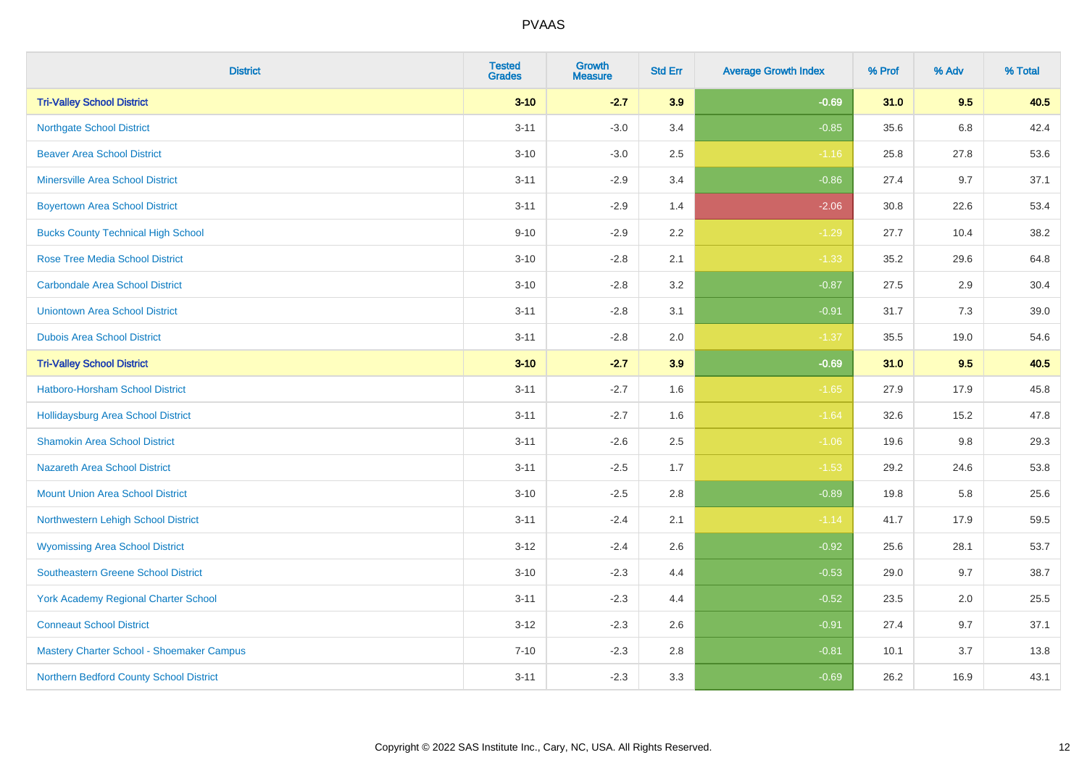| <b>District</b>                             | <b>Tested</b><br><b>Grades</b> | <b>Growth</b><br><b>Measure</b> | <b>Std Err</b> | <b>Average Growth Index</b> | % Prof | % Adv   | % Total |
|---------------------------------------------|--------------------------------|---------------------------------|----------------|-----------------------------|--------|---------|---------|
| <b>Tri-Valley School District</b>           | $3 - 10$                       | $-2.7$                          | 3.9            | $-0.69$                     | 31.0   | 9.5     | 40.5    |
| <b>Northgate School District</b>            | $3 - 11$                       | $-3.0$                          | 3.4            | $-0.85$                     | 35.6   | $6.8\,$ | 42.4    |
| <b>Beaver Area School District</b>          | $3 - 10$                       | $-3.0$                          | 2.5            | $-1.16$                     | 25.8   | 27.8    | 53.6    |
| <b>Minersville Area School District</b>     | $3 - 11$                       | $-2.9$                          | 3.4            | $-0.86$                     | 27.4   | 9.7     | 37.1    |
| <b>Boyertown Area School District</b>       | $3 - 11$                       | $-2.9$                          | 1.4            | $-2.06$                     | 30.8   | 22.6    | 53.4    |
| <b>Bucks County Technical High School</b>   | $9 - 10$                       | $-2.9$                          | 2.2            | $-1.29$                     | 27.7   | 10.4    | 38.2    |
| <b>Rose Tree Media School District</b>      | $3 - 10$                       | $-2.8$                          | 2.1            | $-1.33$                     | 35.2   | 29.6    | 64.8    |
| <b>Carbondale Area School District</b>      | $3 - 10$                       | $-2.8$                          | 3.2            | $-0.87$                     | 27.5   | 2.9     | 30.4    |
| <b>Uniontown Area School District</b>       | $3 - 11$                       | $-2.8$                          | 3.1            | $-0.91$                     | 31.7   | 7.3     | 39.0    |
| <b>Dubois Area School District</b>          | $3 - 11$                       | $-2.8$                          | 2.0            | $-1.37$                     | 35.5   | 19.0    | 54.6    |
| <b>Tri-Valley School District</b>           | $3 - 10$                       | $-2.7$                          | 3.9            | $-0.69$                     | 31.0   | 9.5     | 40.5    |
| Hatboro-Horsham School District             | $3 - 11$                       | $-2.7$                          | 1.6            | $-1.65$                     | 27.9   | 17.9    | 45.8    |
| Hollidaysburg Area School District          | $3 - 11$                       | $-2.7$                          | 1.6            | $-1.64$                     | 32.6   | 15.2    | 47.8    |
| <b>Shamokin Area School District</b>        | $3 - 11$                       | $-2.6$                          | 2.5            | $-1.06$                     | 19.6   | 9.8     | 29.3    |
| <b>Nazareth Area School District</b>        | $3 - 11$                       | $-2.5$                          | 1.7            | $-1.53$                     | 29.2   | 24.6    | 53.8    |
| <b>Mount Union Area School District</b>     | $3 - 10$                       | $-2.5$                          | 2.8            | $-0.89$                     | 19.8   | 5.8     | 25.6    |
| Northwestern Lehigh School District         | $3 - 11$                       | $-2.4$                          | 2.1            | $-1.14$                     | 41.7   | 17.9    | 59.5    |
| <b>Wyomissing Area School District</b>      | $3-12$                         | $-2.4$                          | 2.6            | $-0.92$                     | 25.6   | 28.1    | 53.7    |
| <b>Southeastern Greene School District</b>  | $3 - 10$                       | $-2.3$                          | 4.4            | $-0.53$                     | 29.0   | 9.7     | 38.7    |
| <b>York Academy Regional Charter School</b> | $3 - 11$                       | $-2.3$                          | 4.4            | $-0.52$                     | 23.5   | 2.0     | 25.5    |
| <b>Conneaut School District</b>             | $3 - 12$                       | $-2.3$                          | 2.6            | $-0.91$                     | 27.4   | 9.7     | 37.1    |
| Mastery Charter School - Shoemaker Campus   | $7 - 10$                       | $-2.3$                          | 2.8            | $-0.81$                     | 10.1   | 3.7     | 13.8    |
| Northern Bedford County School District     | $3 - 11$                       | $-2.3$                          | 3.3            | $-0.69$                     | 26.2   | 16.9    | 43.1    |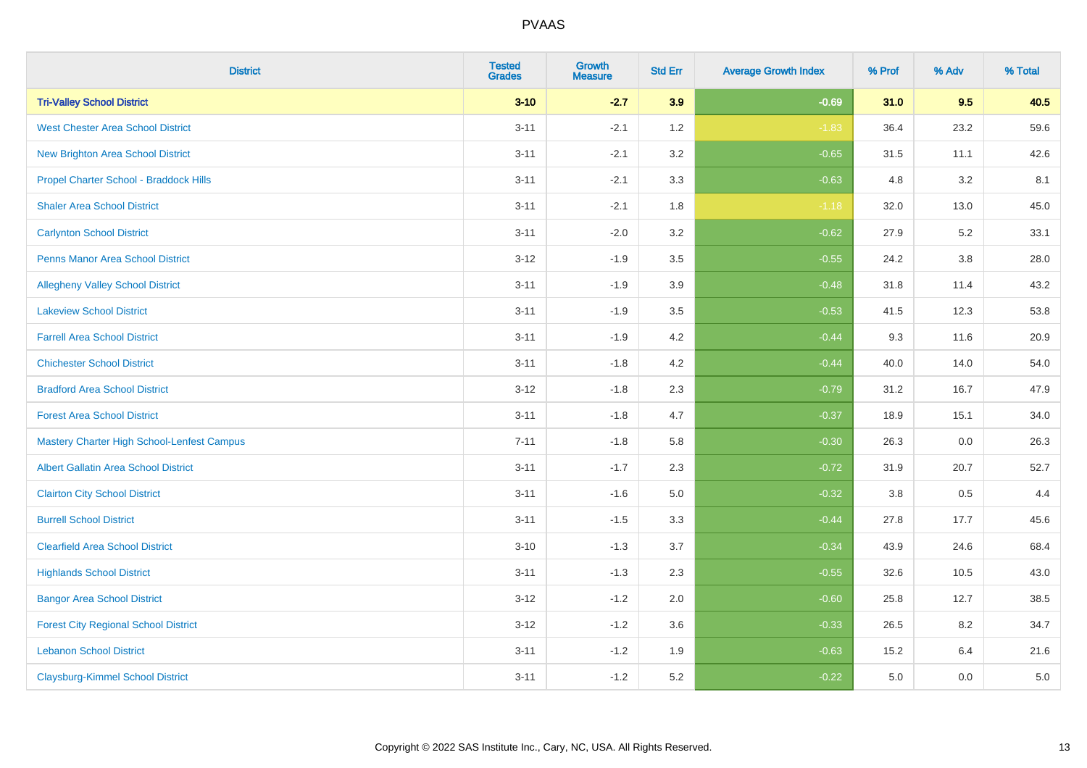| <b>District</b>                                   | <b>Tested</b><br><b>Grades</b> | Growth<br><b>Measure</b> | <b>Std Err</b> | <b>Average Growth Index</b> | % Prof | % Adv   | % Total |
|---------------------------------------------------|--------------------------------|--------------------------|----------------|-----------------------------|--------|---------|---------|
| <b>Tri-Valley School District</b>                 | $3 - 10$                       | $-2.7$                   | 3.9            | $-0.69$                     | 31.0   | 9.5     | 40.5    |
| <b>West Chester Area School District</b>          | $3 - 11$                       | $-2.1$                   | 1.2            | $-1.83$                     | 36.4   | 23.2    | 59.6    |
| New Brighton Area School District                 | $3 - 11$                       | $-2.1$                   | 3.2            | $-0.65$                     | 31.5   | 11.1    | 42.6    |
| Propel Charter School - Braddock Hills            | $3 - 11$                       | $-2.1$                   | 3.3            | $-0.63$                     | 4.8    | $3.2\,$ | 8.1     |
| <b>Shaler Area School District</b>                | $3 - 11$                       | $-2.1$                   | 1.8            | $-1.18$                     | 32.0   | 13.0    | 45.0    |
| <b>Carlynton School District</b>                  | $3 - 11$                       | $-2.0$                   | 3.2            | $-0.62$                     | 27.9   | 5.2     | 33.1    |
| Penns Manor Area School District                  | $3-12$                         | $-1.9$                   | 3.5            | $-0.55$                     | 24.2   | $3.8\,$ | 28.0    |
| <b>Allegheny Valley School District</b>           | $3 - 11$                       | $-1.9$                   | 3.9            | $-0.48$                     | 31.8   | 11.4    | 43.2    |
| <b>Lakeview School District</b>                   | $3 - 11$                       | $-1.9$                   | 3.5            | $-0.53$                     | 41.5   | 12.3    | 53.8    |
| <b>Farrell Area School District</b>               | $3 - 11$                       | $-1.9$                   | 4.2            | $-0.44$                     | 9.3    | 11.6    | 20.9    |
| <b>Chichester School District</b>                 | $3 - 11$                       | $-1.8$                   | 4.2            | $-0.44$                     | 40.0   | 14.0    | 54.0    |
| <b>Bradford Area School District</b>              | $3 - 12$                       | $-1.8$                   | 2.3            | $-0.79$                     | 31.2   | 16.7    | 47.9    |
| <b>Forest Area School District</b>                | $3 - 11$                       | $-1.8$                   | 4.7            | $-0.37$                     | 18.9   | 15.1    | 34.0    |
| <b>Mastery Charter High School-Lenfest Campus</b> | $7 - 11$                       | $-1.8$                   | 5.8            | $-0.30$                     | 26.3   | 0.0     | 26.3    |
| <b>Albert Gallatin Area School District</b>       | $3 - 11$                       | $-1.7$                   | 2.3            | $-0.72$                     | 31.9   | 20.7    | 52.7    |
| <b>Clairton City School District</b>              | $3 - 11$                       | $-1.6$                   | 5.0            | $-0.32$                     | 3.8    | 0.5     | 4.4     |
| <b>Burrell School District</b>                    | $3 - 11$                       | $-1.5$                   | 3.3            | $-0.44$                     | 27.8   | 17.7    | 45.6    |
| <b>Clearfield Area School District</b>            | $3 - 10$                       | $-1.3$                   | 3.7            | $-0.34$                     | 43.9   | 24.6    | 68.4    |
| <b>Highlands School District</b>                  | $3 - 11$                       | $-1.3$                   | 2.3            | $-0.55$                     | 32.6   | 10.5    | 43.0    |
| <b>Bangor Area School District</b>                | $3 - 12$                       | $-1.2$                   | 2.0            | $-0.60$                     | 25.8   | 12.7    | 38.5    |
| <b>Forest City Regional School District</b>       | $3 - 12$                       | $-1.2$                   | 3.6            | $-0.33$                     | 26.5   | 8.2     | 34.7    |
| <b>Lebanon School District</b>                    | $3 - 11$                       | $-1.2$                   | 1.9            | $-0.63$                     | 15.2   | 6.4     | 21.6    |
| <b>Claysburg-Kimmel School District</b>           | $3 - 11$                       | $-1.2$                   | 5.2            | $-0.22$                     | 5.0    | 0.0     | $5.0\,$ |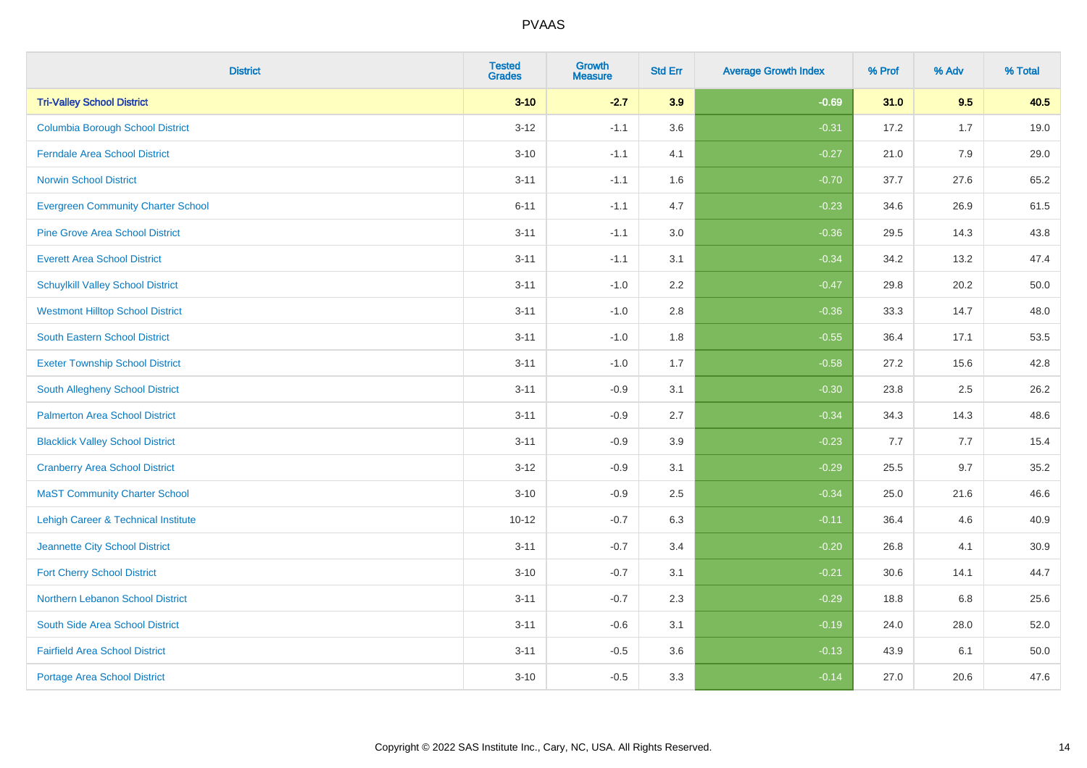| <b>District</b>                           | <b>Tested</b><br><b>Grades</b> | <b>Growth</b><br><b>Measure</b> | <b>Std Err</b> | <b>Average Growth Index</b> | % Prof | % Adv | % Total |
|-------------------------------------------|--------------------------------|---------------------------------|----------------|-----------------------------|--------|-------|---------|
| <b>Tri-Valley School District</b>         | $3 - 10$                       | $-2.7$                          | 3.9            | $-0.69$                     | 31.0   | 9.5   | 40.5    |
| <b>Columbia Borough School District</b>   | $3 - 12$                       | $-1.1$                          | 3.6            | $-0.31$                     | 17.2   | 1.7   | 19.0    |
| <b>Ferndale Area School District</b>      | $3 - 10$                       | $-1.1$                          | 4.1            | $-0.27$                     | 21.0   | 7.9   | 29.0    |
| <b>Norwin School District</b>             | $3 - 11$                       | $-1.1$                          | 1.6            | $-0.70$                     | 37.7   | 27.6  | 65.2    |
| <b>Evergreen Community Charter School</b> | $6 - 11$                       | $-1.1$                          | 4.7            | $-0.23$                     | 34.6   | 26.9  | 61.5    |
| <b>Pine Grove Area School District</b>    | $3 - 11$                       | $-1.1$                          | 3.0            | $-0.36$                     | 29.5   | 14.3  | 43.8    |
| <b>Everett Area School District</b>       | $3 - 11$                       | $-1.1$                          | 3.1            | $-0.34$                     | 34.2   | 13.2  | 47.4    |
| <b>Schuylkill Valley School District</b>  | $3 - 11$                       | $-1.0$                          | 2.2            | $-0.47$                     | 29.8   | 20.2  | 50.0    |
| <b>Westmont Hilltop School District</b>   | $3 - 11$                       | $-1.0$                          | 2.8            | $-0.36$                     | 33.3   | 14.7  | 48.0    |
| South Eastern School District             | $3 - 11$                       | $-1.0$                          | 1.8            | $-0.55$                     | 36.4   | 17.1  | 53.5    |
| <b>Exeter Township School District</b>    | $3 - 11$                       | $-1.0$                          | 1.7            | $-0.58$                     | 27.2   | 15.6  | 42.8    |
| South Allegheny School District           | $3 - 11$                       | $-0.9$                          | 3.1            | $-0.30$                     | 23.8   | 2.5   | 26.2    |
| <b>Palmerton Area School District</b>     | $3 - 11$                       | $-0.9$                          | 2.7            | $-0.34$                     | 34.3   | 14.3  | 48.6    |
| <b>Blacklick Valley School District</b>   | $3 - 11$                       | $-0.9$                          | 3.9            | $-0.23$                     | 7.7    | 7.7   | 15.4    |
| <b>Cranberry Area School District</b>     | $3 - 12$                       | $-0.9$                          | 3.1            | $-0.29$                     | 25.5   | 9.7   | 35.2    |
| <b>MaST Community Charter School</b>      | $3 - 10$                       | $-0.9$                          | 2.5            | $-0.34$                     | 25.0   | 21.6  | 46.6    |
| Lehigh Career & Technical Institute       | $10 - 12$                      | $-0.7$                          | 6.3            | $-0.11$                     | 36.4   | 4.6   | 40.9    |
| Jeannette City School District            | $3 - 11$                       | $-0.7$                          | 3.4            | $-0.20$                     | 26.8   | 4.1   | 30.9    |
| <b>Fort Cherry School District</b>        | $3 - 10$                       | $-0.7$                          | 3.1            | $-0.21$                     | 30.6   | 14.1  | 44.7    |
| Northern Lebanon School District          | $3 - 11$                       | $-0.7$                          | 2.3            | $-0.29$                     | 18.8   | 6.8   | 25.6    |
| South Side Area School District           | $3 - 11$                       | $-0.6$                          | 3.1            | $-0.19$                     | 24.0   | 28.0  | 52.0    |
| <b>Fairfield Area School District</b>     | $3 - 11$                       | $-0.5$                          | 3.6            | $-0.13$                     | 43.9   | 6.1   | 50.0    |
| <b>Portage Area School District</b>       | $3 - 10$                       | $-0.5$                          | 3.3            | $-0.14$                     | 27.0   | 20.6  | 47.6    |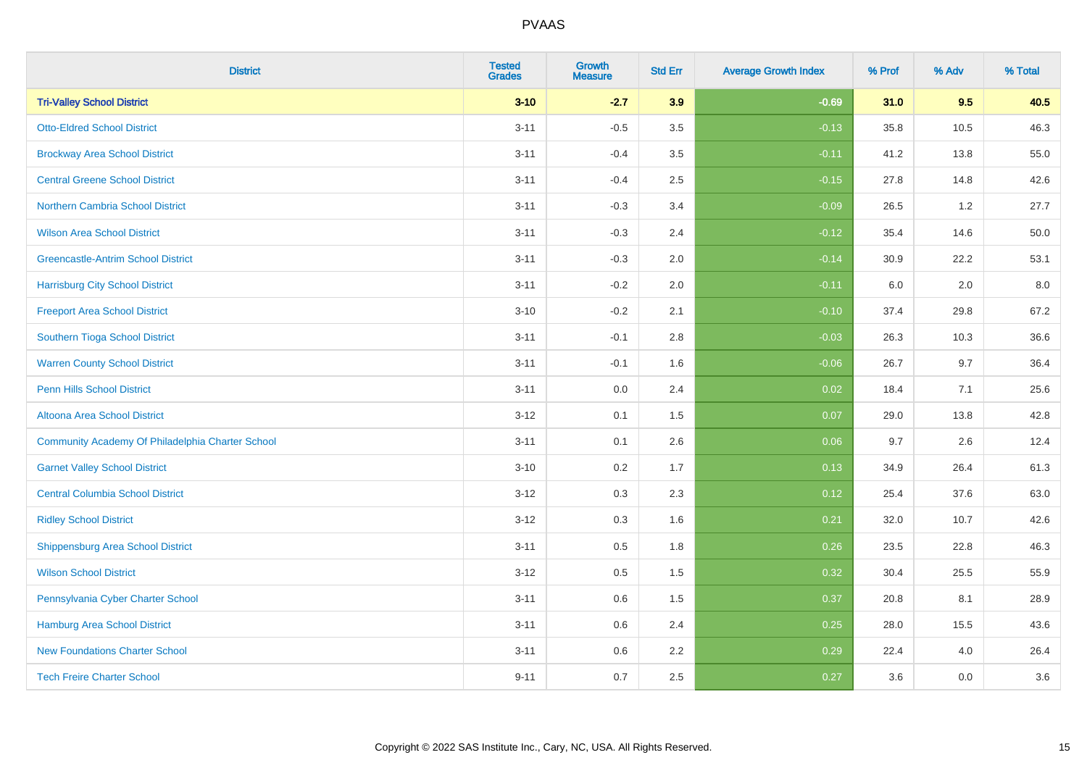| <b>District</b>                                  | <b>Tested</b><br><b>Grades</b> | <b>Growth</b><br><b>Measure</b> | <b>Std Err</b> | <b>Average Growth Index</b> | % Prof | % Adv | % Total |
|--------------------------------------------------|--------------------------------|---------------------------------|----------------|-----------------------------|--------|-------|---------|
| <b>Tri-Valley School District</b>                | $3 - 10$                       | $-2.7$                          | 3.9            | $-0.69$                     | 31.0   | 9.5   | 40.5    |
| <b>Otto-Eldred School District</b>               | $3 - 11$                       | $-0.5$                          | 3.5            | $-0.13$                     | 35.8   | 10.5  | 46.3    |
| <b>Brockway Area School District</b>             | $3 - 11$                       | $-0.4$                          | 3.5            | $-0.11$                     | 41.2   | 13.8  | 55.0    |
| <b>Central Greene School District</b>            | $3 - 11$                       | $-0.4$                          | 2.5            | $-0.15$                     | 27.8   | 14.8  | 42.6    |
| <b>Northern Cambria School District</b>          | $3 - 11$                       | $-0.3$                          | 3.4            | $-0.09$                     | 26.5   | 1.2   | 27.7    |
| <b>Wilson Area School District</b>               | $3 - 11$                       | $-0.3$                          | 2.4            | $-0.12$                     | 35.4   | 14.6  | 50.0    |
| <b>Greencastle-Antrim School District</b>        | $3 - 11$                       | $-0.3$                          | 2.0            | $-0.14$                     | 30.9   | 22.2  | 53.1    |
| <b>Harrisburg City School District</b>           | $3 - 11$                       | $-0.2$                          | 2.0            | $-0.11$                     | 6.0    | 2.0   | 8.0     |
| <b>Freeport Area School District</b>             | $3 - 10$                       | $-0.2$                          | 2.1            | $-0.10$                     | 37.4   | 29.8  | 67.2    |
| Southern Tioga School District                   | $3 - 11$                       | $-0.1$                          | 2.8            | $-0.03$                     | 26.3   | 10.3  | 36.6    |
| <b>Warren County School District</b>             | $3 - 11$                       | $-0.1$                          | 1.6            | $-0.06$                     | 26.7   | 9.7   | 36.4    |
| <b>Penn Hills School District</b>                | $3 - 11$                       | 0.0                             | 2.4            | 0.02                        | 18.4   | 7.1   | 25.6    |
| Altoona Area School District                     | $3 - 12$                       | 0.1                             | 1.5            | 0.07                        | 29.0   | 13.8  | 42.8    |
| Community Academy Of Philadelphia Charter School | $3 - 11$                       | 0.1                             | 2.6            | 0.06                        | 9.7    | 2.6   | 12.4    |
| <b>Garnet Valley School District</b>             | $3 - 10$                       | 0.2                             | 1.7            | 0.13                        | 34.9   | 26.4  | 61.3    |
| <b>Central Columbia School District</b>          | $3 - 12$                       | 0.3                             | 2.3            | 0.12                        | 25.4   | 37.6  | 63.0    |
| <b>Ridley School District</b>                    | $3 - 12$                       | 0.3                             | 1.6            | 0.21                        | 32.0   | 10.7  | 42.6    |
| <b>Shippensburg Area School District</b>         | $3 - 11$                       | 0.5                             | 1.8            | 0.26                        | 23.5   | 22.8  | 46.3    |
| <b>Wilson School District</b>                    | $3 - 12$                       | 0.5                             | 1.5            | 0.32                        | 30.4   | 25.5  | 55.9    |
| Pennsylvania Cyber Charter School                | $3 - 11$                       | 0.6                             | 1.5            | 0.37                        | 20.8   | 8.1   | 28.9    |
| <b>Hamburg Area School District</b>              | $3 - 11$                       | 0.6                             | 2.4            | 0.25                        | 28.0   | 15.5  | 43.6    |
| <b>New Foundations Charter School</b>            | $3 - 11$                       | 0.6                             | 2.2            | 0.29                        | 22.4   | 4.0   | 26.4    |
| <b>Tech Freire Charter School</b>                | $9 - 11$                       | 0.7                             | 2.5            | 0.27                        | 3.6    | 0.0   | 3.6     |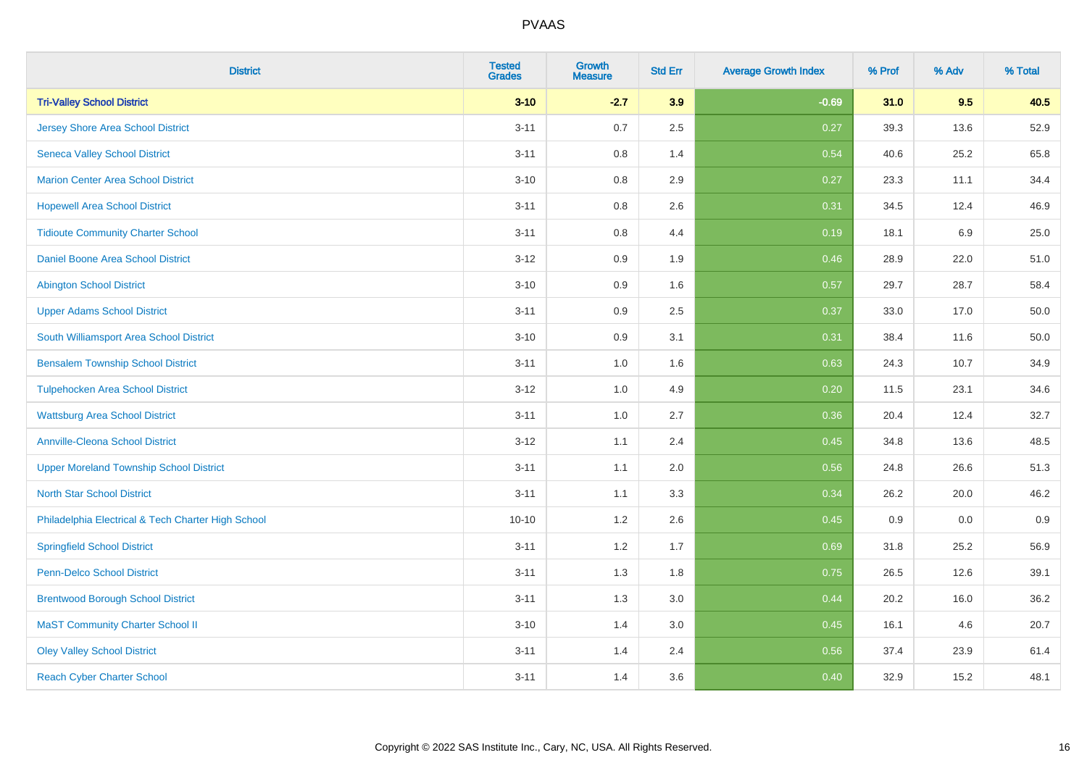| <b>District</b>                                    | <b>Tested</b><br><b>Grades</b> | Growth<br><b>Measure</b> | <b>Std Err</b> | <b>Average Growth Index</b> | % Prof | % Adv   | % Total  |
|----------------------------------------------------|--------------------------------|--------------------------|----------------|-----------------------------|--------|---------|----------|
| <b>Tri-Valley School District</b>                  | $3 - 10$                       | $-2.7$                   | 3.9            | $-0.69$                     | 31.0   | 9.5     | 40.5     |
| <b>Jersey Shore Area School District</b>           | $3 - 11$                       | 0.7                      | 2.5            | 0.27                        | 39.3   | 13.6    | 52.9     |
| <b>Seneca Valley School District</b>               | $3 - 11$                       | 0.8                      | 1.4            | 0.54                        | 40.6   | 25.2    | 65.8     |
| <b>Marion Center Area School District</b>          | $3 - 10$                       | 0.8                      | 2.9            | 0.27                        | 23.3   | 11.1    | 34.4     |
| <b>Hopewell Area School District</b>               | $3 - 11$                       | 0.8                      | 2.6            | 0.31                        | 34.5   | 12.4    | 46.9     |
| <b>Tidioute Community Charter School</b>           | $3 - 11$                       | 0.8                      | 4.4            | 0.19                        | 18.1   | $6.9\,$ | 25.0     |
| Daniel Boone Area School District                  | $3 - 12$                       | 0.9                      | 1.9            | 0.46                        | 28.9   | 22.0    | 51.0     |
| <b>Abington School District</b>                    | $3 - 10$                       | 0.9                      | 1.6            | 0.57                        | 29.7   | 28.7    | 58.4     |
| <b>Upper Adams School District</b>                 | $3 - 11$                       | 0.9                      | 2.5            | 0.37                        | 33.0   | 17.0    | 50.0     |
| South Williamsport Area School District            | $3 - 10$                       | 0.9                      | 3.1            | 0.31                        | 38.4   | 11.6    | $50.0\,$ |
| <b>Bensalem Township School District</b>           | $3 - 11$                       | 1.0                      | 1.6            | 0.63                        | 24.3   | 10.7    | 34.9     |
| <b>Tulpehocken Area School District</b>            | $3 - 12$                       | 1.0                      | 4.9            | 0.20                        | 11.5   | 23.1    | 34.6     |
| <b>Wattsburg Area School District</b>              | $3 - 11$                       | 1.0                      | 2.7            | 0.36                        | 20.4   | 12.4    | 32.7     |
| <b>Annville-Cleona School District</b>             | $3 - 12$                       | 1.1                      | 2.4            | 0.45                        | 34.8   | 13.6    | 48.5     |
| <b>Upper Moreland Township School District</b>     | $3 - 11$                       | 1.1                      | 2.0            | 0.56                        | 24.8   | 26.6    | 51.3     |
| <b>North Star School District</b>                  | $3 - 11$                       | 1.1                      | 3.3            | 0.34                        | 26.2   | 20.0    | 46.2     |
| Philadelphia Electrical & Tech Charter High School | $10 - 10$                      | 1.2                      | 2.6            | 0.45                        | 0.9    | 0.0     | 0.9      |
| <b>Springfield School District</b>                 | $3 - 11$                       | 1.2                      | 1.7            | 0.69                        | 31.8   | 25.2    | 56.9     |
| <b>Penn-Delco School District</b>                  | $3 - 11$                       | 1.3                      | 1.8            | 0.75                        | 26.5   | 12.6    | 39.1     |
| <b>Brentwood Borough School District</b>           | $3 - 11$                       | 1.3                      | 3.0            | 0.44                        | 20.2   | 16.0    | 36.2     |
| <b>MaST Community Charter School II</b>            | $3 - 10$                       | 1.4                      | 3.0            | 0.45                        | 16.1   | 4.6     | 20.7     |
| <b>Oley Valley School District</b>                 | $3 - 11$                       | 1.4                      | 2.4            | 0.56                        | 37.4   | 23.9    | 61.4     |
| <b>Reach Cyber Charter School</b>                  | $3 - 11$                       | 1.4                      | 3.6            | 0.40                        | 32.9   | 15.2    | 48.1     |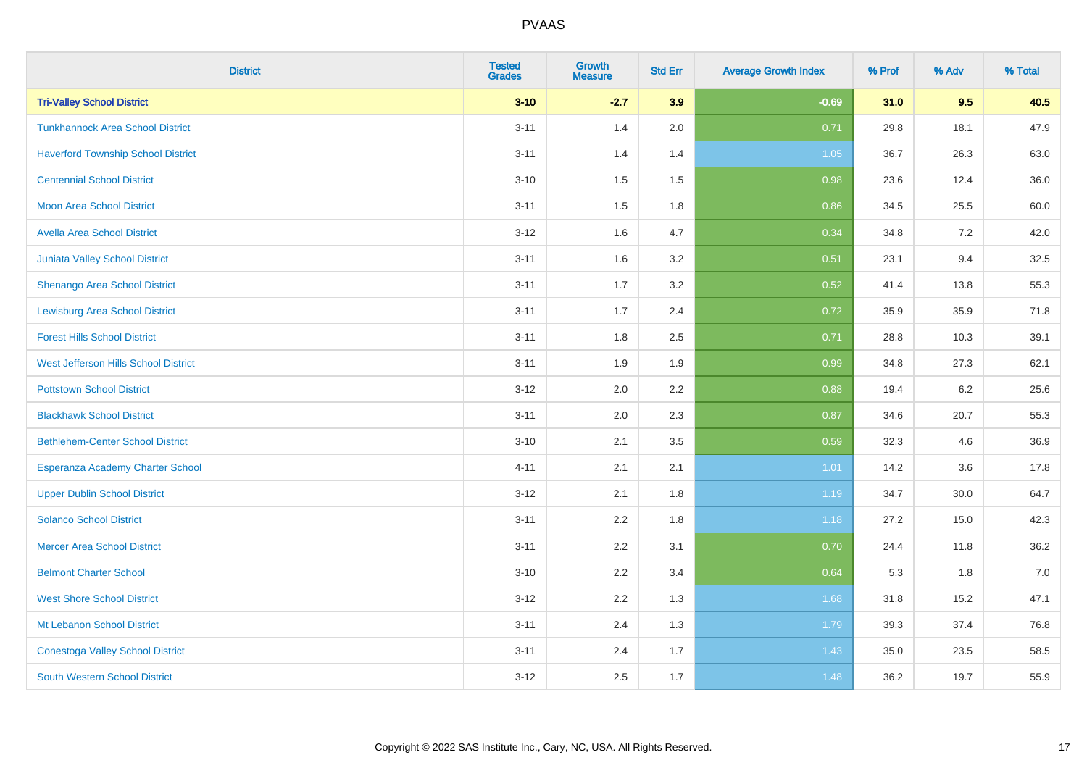| <b>District</b>                           | <b>Tested</b><br><b>Grades</b> | Growth<br><b>Measure</b> | <b>Std Err</b> | <b>Average Growth Index</b> | % Prof | % Adv | % Total |
|-------------------------------------------|--------------------------------|--------------------------|----------------|-----------------------------|--------|-------|---------|
| <b>Tri-Valley School District</b>         | $3 - 10$                       | $-2.7$                   | 3.9            | $-0.69$                     | 31.0   | 9.5   | 40.5    |
| <b>Tunkhannock Area School District</b>   | $3 - 11$                       | 1.4                      | 2.0            | 0.71                        | 29.8   | 18.1  | 47.9    |
| <b>Haverford Township School District</b> | $3 - 11$                       | 1.4                      | 1.4            | 1.05                        | 36.7   | 26.3  | 63.0    |
| <b>Centennial School District</b>         | $3 - 10$                       | 1.5                      | 1.5            | 0.98                        | 23.6   | 12.4  | 36.0    |
| <b>Moon Area School District</b>          | $3 - 11$                       | 1.5                      | 1.8            | 0.86                        | 34.5   | 25.5  | 60.0    |
| <b>Avella Area School District</b>        | $3 - 12$                       | 1.6                      | 4.7            | 0.34                        | 34.8   | 7.2   | 42.0    |
| Juniata Valley School District            | $3 - 11$                       | 1.6                      | 3.2            | 0.51                        | 23.1   | 9.4   | 32.5    |
| Shenango Area School District             | $3 - 11$                       | 1.7                      | 3.2            | 0.52                        | 41.4   | 13.8  | 55.3    |
| <b>Lewisburg Area School District</b>     | $3 - 11$                       | 1.7                      | 2.4            | 0.72                        | 35.9   | 35.9  | 71.8    |
| <b>Forest Hills School District</b>       | $3 - 11$                       | 1.8                      | $2.5\,$        | 0.71                        | 28.8   | 10.3  | 39.1    |
| West Jefferson Hills School District      | $3 - 11$                       | 1.9                      | 1.9            | 0.99                        | 34.8   | 27.3  | 62.1    |
| <b>Pottstown School District</b>          | $3 - 12$                       | 2.0                      | 2.2            | 0.88                        | 19.4   | 6.2   | 25.6    |
| <b>Blackhawk School District</b>          | $3 - 11$                       | 2.0                      | 2.3            | 0.87                        | 34.6   | 20.7  | 55.3    |
| <b>Bethlehem-Center School District</b>   | $3 - 10$                       | 2.1                      | 3.5            | 0.59                        | 32.3   | 4.6   | 36.9    |
| Esperanza Academy Charter School          | $4 - 11$                       | 2.1                      | 2.1            | 1.01                        | 14.2   | 3.6   | 17.8    |
| <b>Upper Dublin School District</b>       | $3 - 12$                       | 2.1                      | 1.8            | 1.19                        | 34.7   | 30.0  | 64.7    |
| <b>Solanco School District</b>            | $3 - 11$                       | 2.2                      | 1.8            | 1.18                        | 27.2   | 15.0  | 42.3    |
| <b>Mercer Area School District</b>        | $3 - 11$                       | 2.2                      | 3.1            | 0.70                        | 24.4   | 11.8  | 36.2    |
| <b>Belmont Charter School</b>             | $3 - 10$                       | 2.2                      | 3.4            | 0.64                        | 5.3    | 1.8   | 7.0     |
| <b>West Shore School District</b>         | $3 - 12$                       | 2.2                      | 1.3            | 1.68                        | 31.8   | 15.2  | 47.1    |
| Mt Lebanon School District                | $3 - 11$                       | 2.4                      | 1.3            | 1.79                        | 39.3   | 37.4  | 76.8    |
| <b>Conestoga Valley School District</b>   | $3 - 11$                       | 2.4                      | 1.7            | 1.43                        | 35.0   | 23.5  | 58.5    |
| <b>South Western School District</b>      | $3 - 12$                       | 2.5                      | 1.7            | 1.48                        | 36.2   | 19.7  | 55.9    |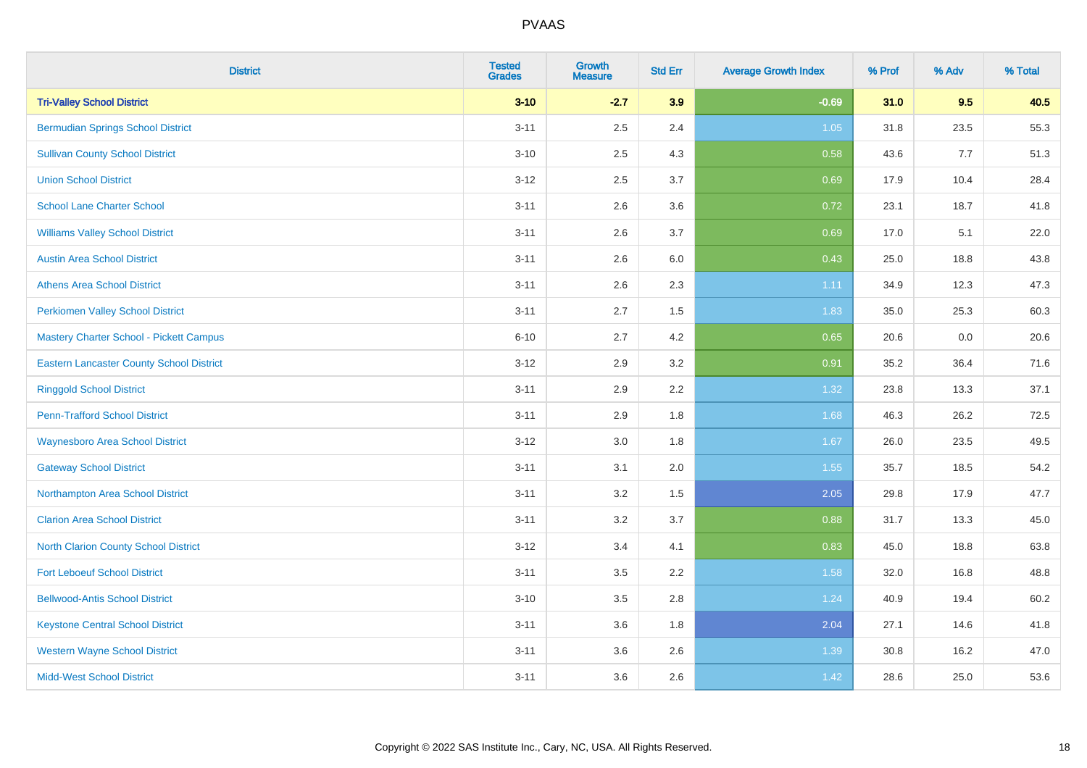| <b>District</b>                                 | <b>Tested</b><br><b>Grades</b> | <b>Growth</b><br><b>Measure</b> | <b>Std Err</b> | <b>Average Growth Index</b> | % Prof | % Adv | % Total |
|-------------------------------------------------|--------------------------------|---------------------------------|----------------|-----------------------------|--------|-------|---------|
| <b>Tri-Valley School District</b>               | $3 - 10$                       | $-2.7$                          | 3.9            | $-0.69$                     | 31.0   | 9.5   | 40.5    |
| <b>Bermudian Springs School District</b>        | $3 - 11$                       | 2.5                             | 2.4            | 1.05                        | 31.8   | 23.5  | 55.3    |
| <b>Sullivan County School District</b>          | $3 - 10$                       | 2.5                             | 4.3            | 0.58                        | 43.6   | 7.7   | 51.3    |
| <b>Union School District</b>                    | $3 - 12$                       | 2.5                             | 3.7            | 0.69                        | 17.9   | 10.4  | 28.4    |
| <b>School Lane Charter School</b>               | $3 - 11$                       | 2.6                             | 3.6            | 0.72                        | 23.1   | 18.7  | 41.8    |
| <b>Williams Valley School District</b>          | $3 - 11$                       | 2.6                             | 3.7            | 0.69                        | 17.0   | 5.1   | 22.0    |
| <b>Austin Area School District</b>              | $3 - 11$                       | 2.6                             | 6.0            | 0.43                        | 25.0   | 18.8  | 43.8    |
| <b>Athens Area School District</b>              | $3 - 11$                       | 2.6                             | 2.3            | 1.11                        | 34.9   | 12.3  | 47.3    |
| <b>Perkiomen Valley School District</b>         | $3 - 11$                       | 2.7                             | 1.5            | 1.83                        | 35.0   | 25.3  | 60.3    |
| <b>Mastery Charter School - Pickett Campus</b>  | $6 - 10$                       | 2.7                             | 4.2            | 0.65                        | 20.6   | 0.0   | 20.6    |
| <b>Eastern Lancaster County School District</b> | $3 - 12$                       | 2.9                             | 3.2            | 0.91                        | 35.2   | 36.4  | 71.6    |
| <b>Ringgold School District</b>                 | $3 - 11$                       | 2.9                             | 2.2            | 1.32                        | 23.8   | 13.3  | 37.1    |
| <b>Penn-Trafford School District</b>            | $3 - 11$                       | 2.9                             | 1.8            | 1.68                        | 46.3   | 26.2  | 72.5    |
| <b>Waynesboro Area School District</b>          | $3 - 12$                       | 3.0                             | 1.8            | 1.67                        | 26.0   | 23.5  | 49.5    |
| <b>Gateway School District</b>                  | $3 - 11$                       | 3.1                             | 2.0            | 1.55                        | 35.7   | 18.5  | 54.2    |
| Northampton Area School District                | $3 - 11$                       | 3.2                             | 1.5            | 2.05                        | 29.8   | 17.9  | 47.7    |
| <b>Clarion Area School District</b>             | $3 - 11$                       | $3.2\,$                         | 3.7            | 0.88                        | 31.7   | 13.3  | 45.0    |
| North Clarion County School District            | $3 - 12$                       | 3.4                             | 4.1            | 0.83                        | 45.0   | 18.8  | 63.8    |
| <b>Fort Leboeuf School District</b>             | $3 - 11$                       | 3.5                             | 2.2            | 1.58                        | 32.0   | 16.8  | 48.8    |
| <b>Bellwood-Antis School District</b>           | $3 - 10$                       | 3.5                             | 2.8            | 1.24                        | 40.9   | 19.4  | 60.2    |
| <b>Keystone Central School District</b>         | $3 - 11$                       | 3.6                             | 1.8            | 2.04                        | 27.1   | 14.6  | 41.8    |
| <b>Western Wayne School District</b>            | $3 - 11$                       | 3.6                             | 2.6            | 1.39                        | 30.8   | 16.2  | 47.0    |
| <b>Midd-West School District</b>                | $3 - 11$                       | 3.6                             | 2.6            | 1.42                        | 28.6   | 25.0  | 53.6    |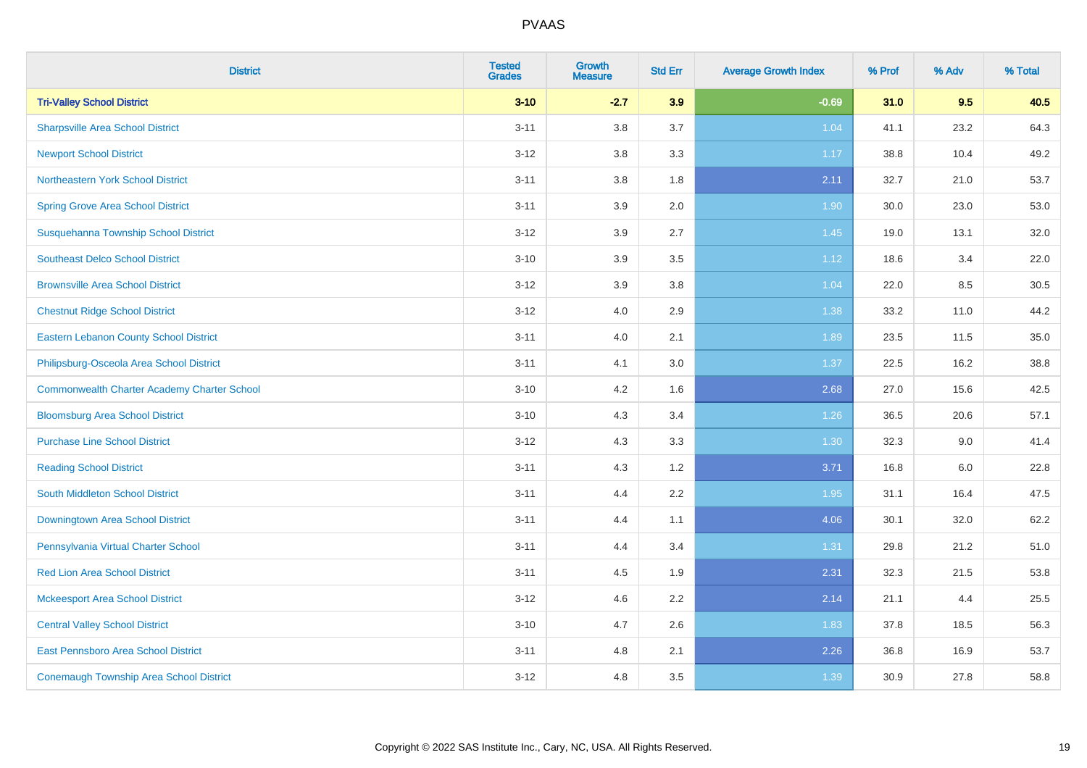| <b>District</b>                                    | <b>Tested</b><br><b>Grades</b> | <b>Growth</b><br><b>Measure</b> | <b>Std Err</b> | <b>Average Growth Index</b> | % Prof | % Adv | % Total |
|----------------------------------------------------|--------------------------------|---------------------------------|----------------|-----------------------------|--------|-------|---------|
| <b>Tri-Valley School District</b>                  | $3 - 10$                       | $-2.7$                          | 3.9            | $-0.69$                     | 31.0   | 9.5   | 40.5    |
| <b>Sharpsville Area School District</b>            | $3 - 11$                       | 3.8                             | 3.7            | 1.04                        | 41.1   | 23.2  | 64.3    |
| <b>Newport School District</b>                     | $3 - 12$                       | 3.8                             | 3.3            | 1.17                        | 38.8   | 10.4  | 49.2    |
| Northeastern York School District                  | $3 - 11$                       | 3.8                             | 1.8            | 2.11                        | 32.7   | 21.0  | 53.7    |
| <b>Spring Grove Area School District</b>           | $3 - 11$                       | 3.9                             | 2.0            | 1.90                        | 30.0   | 23.0  | 53.0    |
| Susquehanna Township School District               | $3 - 12$                       | 3.9                             | 2.7            | 1.45                        | 19.0   | 13.1  | 32.0    |
| <b>Southeast Delco School District</b>             | $3 - 10$                       | 3.9                             | 3.5            | 1.12                        | 18.6   | 3.4   | 22.0    |
| <b>Brownsville Area School District</b>            | $3 - 12$                       | 3.9                             | 3.8            | 1.04                        | 22.0   | 8.5   | 30.5    |
| <b>Chestnut Ridge School District</b>              | $3 - 12$                       | 4.0                             | 2.9            | 1.38                        | 33.2   | 11.0  | 44.2    |
| <b>Eastern Lebanon County School District</b>      | $3 - 11$                       | 4.0                             | 2.1            | 1.89                        | 23.5   | 11.5  | 35.0    |
| Philipsburg-Osceola Area School District           | $3 - 11$                       | 4.1                             | 3.0            | 1.37                        | 22.5   | 16.2  | 38.8    |
| <b>Commonwealth Charter Academy Charter School</b> | $3 - 10$                       | 4.2                             | 1.6            | 2.68                        | 27.0   | 15.6  | 42.5    |
| <b>Bloomsburg Area School District</b>             | $3 - 10$                       | 4.3                             | 3.4            | 1.26                        | 36.5   | 20.6  | 57.1    |
| <b>Purchase Line School District</b>               | $3 - 12$                       | 4.3                             | 3.3            | 1.30                        | 32.3   | 9.0   | 41.4    |
| <b>Reading School District</b>                     | $3 - 11$                       | 4.3                             | 1.2            | 3.71                        | 16.8   | 6.0   | 22.8    |
| South Middleton School District                    | $3 - 11$                       | 4.4                             | 2.2            | 1.95                        | 31.1   | 16.4  | 47.5    |
| <b>Downingtown Area School District</b>            | $3 - 11$                       | 4.4                             | 1.1            | 4.06                        | 30.1   | 32.0  | 62.2    |
| Pennsylvania Virtual Charter School                | $3 - 11$                       | 4.4                             | 3.4            | 1.31                        | 29.8   | 21.2  | 51.0    |
| <b>Red Lion Area School District</b>               | $3 - 11$                       | 4.5                             | 1.9            | 2.31                        | 32.3   | 21.5  | 53.8    |
| <b>Mckeesport Area School District</b>             | $3 - 12$                       | 4.6                             | 2.2            | 2.14                        | 21.1   | 4.4   | 25.5    |
| <b>Central Valley School District</b>              | $3 - 10$                       | 4.7                             | 2.6            | 1.83                        | 37.8   | 18.5  | 56.3    |
| <b>East Pennsboro Area School District</b>         | $3 - 11$                       | 4.8                             | 2.1            | 2.26                        | 36.8   | 16.9  | 53.7    |
| <b>Conemaugh Township Area School District</b>     | $3 - 12$                       | 4.8                             | 3.5            | 1.39                        | 30.9   | 27.8  | 58.8    |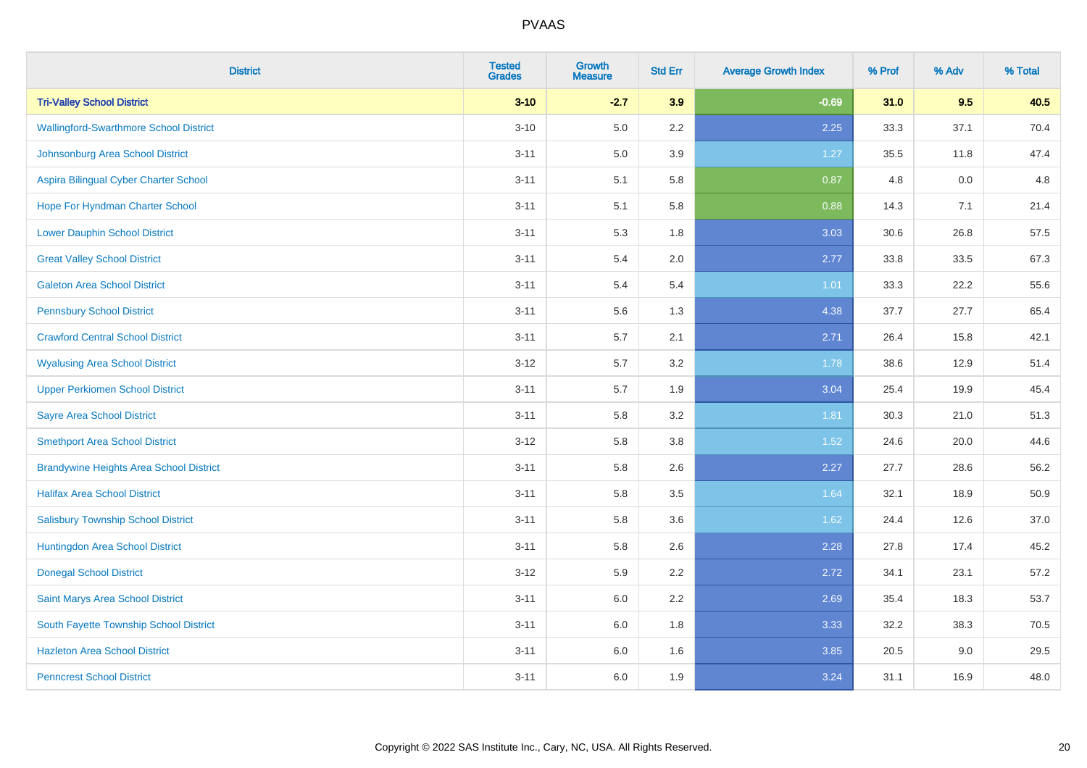| <b>District</b>                                | <b>Tested</b><br><b>Grades</b> | <b>Growth</b><br><b>Measure</b> | <b>Std Err</b> | <b>Average Growth Index</b> | % Prof | % Adv | % Total |
|------------------------------------------------|--------------------------------|---------------------------------|----------------|-----------------------------|--------|-------|---------|
| <b>Tri-Valley School District</b>              | $3 - 10$                       | $-2.7$                          | 3.9            | $-0.69$                     | 31.0   | 9.5   | 40.5    |
| <b>Wallingford-Swarthmore School District</b>  | $3 - 10$                       | 5.0                             | 2.2            | 2.25                        | 33.3   | 37.1  | 70.4    |
| Johnsonburg Area School District               | $3 - 11$                       | 5.0                             | 3.9            | 1.27                        | 35.5   | 11.8  | 47.4    |
| Aspira Bilingual Cyber Charter School          | $3 - 11$                       | 5.1                             | 5.8            | 0.87                        | 4.8    | 0.0   | 4.8     |
| Hope For Hyndman Charter School                | $3 - 11$                       | 5.1                             | 5.8            | 0.88                        | 14.3   | 7.1   | 21.4    |
| <b>Lower Dauphin School District</b>           | $3 - 11$                       | 5.3                             | 1.8            | 3.03                        | 30.6   | 26.8  | 57.5    |
| <b>Great Valley School District</b>            | $3 - 11$                       | 5.4                             | 2.0            | 2.77                        | 33.8   | 33.5  | 67.3    |
| <b>Galeton Area School District</b>            | $3 - 11$                       | 5.4                             | 5.4            | 1.01                        | 33.3   | 22.2  | 55.6    |
| <b>Pennsbury School District</b>               | $3 - 11$                       | 5.6                             | 1.3            | 4.38                        | 37.7   | 27.7  | 65.4    |
| <b>Crawford Central School District</b>        | $3 - 11$                       | 5.7                             | 2.1            | 2.71                        | 26.4   | 15.8  | 42.1    |
| <b>Wyalusing Area School District</b>          | $3 - 12$                       | 5.7                             | 3.2            | 1.78                        | 38.6   | 12.9  | 51.4    |
| <b>Upper Perkiomen School District</b>         | $3 - 11$                       | 5.7                             | 1.9            | 3.04                        | 25.4   | 19.9  | 45.4    |
| <b>Sayre Area School District</b>              | $3 - 11$                       | 5.8                             | 3.2            | 1.81                        | 30.3   | 21.0  | 51.3    |
| <b>Smethport Area School District</b>          | $3 - 12$                       | 5.8                             | 3.8            | 1.52                        | 24.6   | 20.0  | 44.6    |
| <b>Brandywine Heights Area School District</b> | $3 - 11$                       | 5.8                             | 2.6            | 2.27                        | 27.7   | 28.6  | 56.2    |
| <b>Halifax Area School District</b>            | $3 - 11$                       | 5.8                             | 3.5            | 1.64                        | 32.1   | 18.9  | 50.9    |
| <b>Salisbury Township School District</b>      | $3 - 11$                       | 5.8                             | 3.6            | 1.62                        | 24.4   | 12.6  | 37.0    |
| Huntingdon Area School District                | $3 - 11$                       | 5.8                             | 2.6            | 2.28                        | 27.8   | 17.4  | 45.2    |
| <b>Donegal School District</b>                 | $3 - 12$                       | 5.9                             | 2.2            | 2.72                        | 34.1   | 23.1  | 57.2    |
| Saint Marys Area School District               | $3 - 11$                       | 6.0                             | 2.2            | 2.69                        | 35.4   | 18.3  | 53.7    |
| South Fayette Township School District         | $3 - 11$                       | 6.0                             | 1.8            | 3.33                        | 32.2   | 38.3  | 70.5    |
| <b>Hazleton Area School District</b>           | $3 - 11$                       | 6.0                             | 1.6            | 3.85                        | 20.5   | 9.0   | 29.5    |
| <b>Penncrest School District</b>               | $3 - 11$                       | 6.0                             | 1.9            | 3.24                        | 31.1   | 16.9  | 48.0    |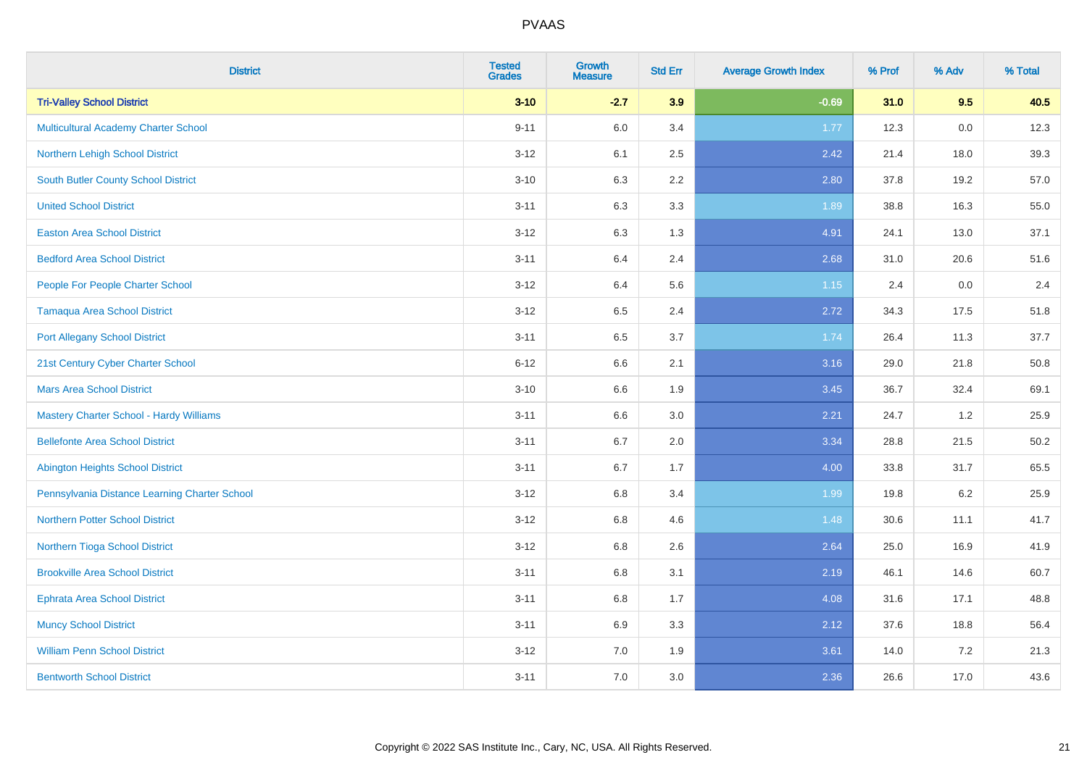| <b>District</b>                                | <b>Tested</b><br><b>Grades</b> | <b>Growth</b><br><b>Measure</b> | <b>Std Err</b> | <b>Average Growth Index</b> | % Prof | % Adv | % Total |
|------------------------------------------------|--------------------------------|---------------------------------|----------------|-----------------------------|--------|-------|---------|
| <b>Tri-Valley School District</b>              | $3 - 10$                       | $-2.7$                          | 3.9            | $-0.69$                     | 31.0   | 9.5   | 40.5    |
| <b>Multicultural Academy Charter School</b>    | $9 - 11$                       | 6.0                             | 3.4            | 1.77                        | 12.3   | 0.0   | 12.3    |
| Northern Lehigh School District                | $3 - 12$                       | 6.1                             | 2.5            | 2.42                        | 21.4   | 18.0  | 39.3    |
| <b>South Butler County School District</b>     | $3 - 10$                       | 6.3                             | 2.2            | 2.80                        | 37.8   | 19.2  | 57.0    |
| <b>United School District</b>                  | $3 - 11$                       | 6.3                             | 3.3            | 1.89                        | 38.8   | 16.3  | 55.0    |
| <b>Easton Area School District</b>             | $3 - 12$                       | 6.3                             | 1.3            | 4.91                        | 24.1   | 13.0  | 37.1    |
| <b>Bedford Area School District</b>            | $3 - 11$                       | 6.4                             | 2.4            | 2.68                        | 31.0   | 20.6  | 51.6    |
| People For People Charter School               | $3 - 12$                       | 6.4                             | 5.6            | 1.15                        | 2.4    | 0.0   | 2.4     |
| Tamaqua Area School District                   | $3 - 12$                       | 6.5                             | 2.4            | 2.72                        | 34.3   | 17.5  | 51.8    |
| <b>Port Allegany School District</b>           | $3 - 11$                       | 6.5                             | 3.7            | 1.74                        | 26.4   | 11.3  | 37.7    |
| 21st Century Cyber Charter School              | $6 - 12$                       | 6.6                             | 2.1            | 3.16                        | 29.0   | 21.8  | 50.8    |
| <b>Mars Area School District</b>               | $3 - 10$                       | 6.6                             | 1.9            | 3.45                        | 36.7   | 32.4  | 69.1    |
| <b>Mastery Charter School - Hardy Williams</b> | $3 - 11$                       | 6.6                             | 3.0            | 2.21                        | 24.7   | 1.2   | 25.9    |
| <b>Bellefonte Area School District</b>         | $3 - 11$                       | 6.7                             | 2.0            | 3.34                        | 28.8   | 21.5  | 50.2    |
| <b>Abington Heights School District</b>        | $3 - 11$                       | 6.7                             | 1.7            | 4.00                        | 33.8   | 31.7  | 65.5    |
| Pennsylvania Distance Learning Charter School  | $3 - 12$                       | 6.8                             | 3.4            | 1.99                        | 19.8   | 6.2   | 25.9    |
| <b>Northern Potter School District</b>         | $3-12$                         | 6.8                             | 4.6            | 1.48                        | 30.6   | 11.1  | 41.7    |
| Northern Tioga School District                 | $3-12$                         | 6.8                             | 2.6            | 2.64                        | 25.0   | 16.9  | 41.9    |
| <b>Brookville Area School District</b>         | $3 - 11$                       | 6.8                             | 3.1            | 2.19                        | 46.1   | 14.6  | 60.7    |
| <b>Ephrata Area School District</b>            | $3 - 11$                       | 6.8                             | 1.7            | 4.08                        | 31.6   | 17.1  | 48.8    |
| <b>Muncy School District</b>                   | $3 - 11$                       | 6.9                             | 3.3            | 2.12                        | 37.6   | 18.8  | 56.4    |
| <b>William Penn School District</b>            | $3 - 12$                       | 7.0                             | 1.9            | 3.61                        | 14.0   | 7.2   | 21.3    |
| <b>Bentworth School District</b>               | $3 - 11$                       | 7.0                             | 3.0            | 2.36                        | 26.6   | 17.0  | 43.6    |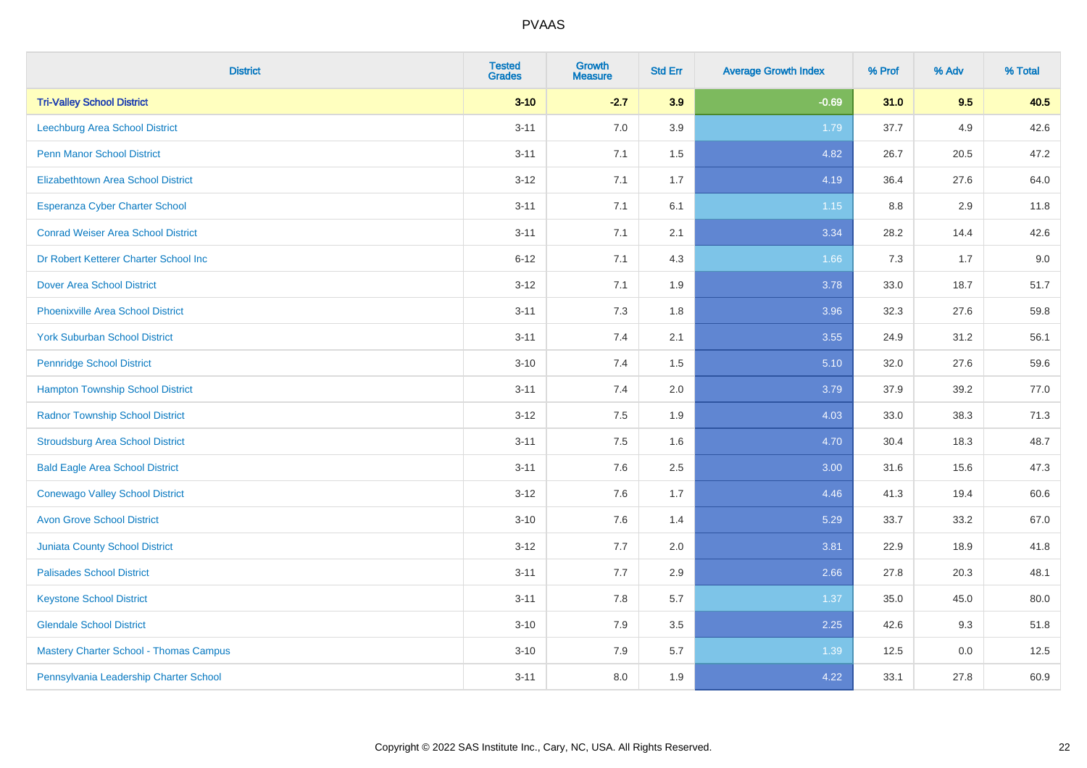| <b>District</b>                               | <b>Tested</b><br><b>Grades</b> | <b>Growth</b><br><b>Measure</b> | <b>Std Err</b> | <b>Average Growth Index</b> | % Prof | % Adv | % Total |
|-----------------------------------------------|--------------------------------|---------------------------------|----------------|-----------------------------|--------|-------|---------|
| <b>Tri-Valley School District</b>             | $3 - 10$                       | $-2.7$                          | 3.9            | $-0.69$                     | 31.0   | 9.5   | 40.5    |
| <b>Leechburg Area School District</b>         | $3 - 11$                       | 7.0                             | 3.9            | 1.79                        | 37.7   | 4.9   | 42.6    |
| <b>Penn Manor School District</b>             | $3 - 11$                       | 7.1                             | 1.5            | 4.82                        | 26.7   | 20.5  | 47.2    |
| <b>Elizabethtown Area School District</b>     | $3 - 12$                       | 7.1                             | 1.7            | 4.19                        | 36.4   | 27.6  | 64.0    |
| <b>Esperanza Cyber Charter School</b>         | $3 - 11$                       | 7.1                             | 6.1            | 1.15                        | 8.8    | 2.9   | 11.8    |
| <b>Conrad Weiser Area School District</b>     | $3 - 11$                       | 7.1                             | 2.1            | 3.34                        | 28.2   | 14.4  | 42.6    |
| Dr Robert Ketterer Charter School Inc         | $6 - 12$                       | 7.1                             | 4.3            | 1.66                        | 7.3    | 1.7   | 9.0     |
| <b>Dover Area School District</b>             | $3 - 12$                       | 7.1                             | 1.9            | 3.78                        | 33.0   | 18.7  | 51.7    |
| <b>Phoenixville Area School District</b>      | $3 - 11$                       | 7.3                             | 1.8            | 3.96                        | 32.3   | 27.6  | 59.8    |
| <b>York Suburban School District</b>          | $3 - 11$                       | 7.4                             | 2.1            | 3.55                        | 24.9   | 31.2  | 56.1    |
| <b>Pennridge School District</b>              | $3 - 10$                       | 7.4                             | 1.5            | 5.10                        | 32.0   | 27.6  | 59.6    |
| <b>Hampton Township School District</b>       | $3 - 11$                       | 7.4                             | 2.0            | 3.79                        | 37.9   | 39.2  | 77.0    |
| <b>Radnor Township School District</b>        | $3 - 12$                       | $7.5\,$                         | 1.9            | 4.03                        | 33.0   | 38.3  | 71.3    |
| <b>Stroudsburg Area School District</b>       | $3 - 11$                       | 7.5                             | 1.6            | 4.70                        | 30.4   | 18.3  | 48.7    |
| <b>Bald Eagle Area School District</b>        | $3 - 11$                       | 7.6                             | 2.5            | 3.00                        | 31.6   | 15.6  | 47.3    |
| <b>Conewago Valley School District</b>        | $3-12$                         | 7.6                             | 1.7            | 4.46                        | 41.3   | 19.4  | 60.6    |
| <b>Avon Grove School District</b>             | $3 - 10$                       | 7.6                             | 1.4            | 5.29                        | 33.7   | 33.2  | 67.0    |
| <b>Juniata County School District</b>         | $3 - 12$                       | 7.7                             | 2.0            | 3.81                        | 22.9   | 18.9  | 41.8    |
| <b>Palisades School District</b>              | $3 - 11$                       | 7.7                             | 2.9            | 2.66                        | 27.8   | 20.3  | 48.1    |
| <b>Keystone School District</b>               | $3 - 11$                       | 7.8                             | 5.7            | 1.37                        | 35.0   | 45.0  | 80.0    |
| <b>Glendale School District</b>               | $3 - 10$                       | 7.9                             | 3.5            | 2.25                        | 42.6   | 9.3   | 51.8    |
| <b>Mastery Charter School - Thomas Campus</b> | $3 - 10$                       | 7.9                             | 5.7            | 1.39                        | 12.5   | 0.0   | 12.5    |
| Pennsylvania Leadership Charter School        | $3 - 11$                       | 8.0                             | 1.9            | 4.22                        | 33.1   | 27.8  | 60.9    |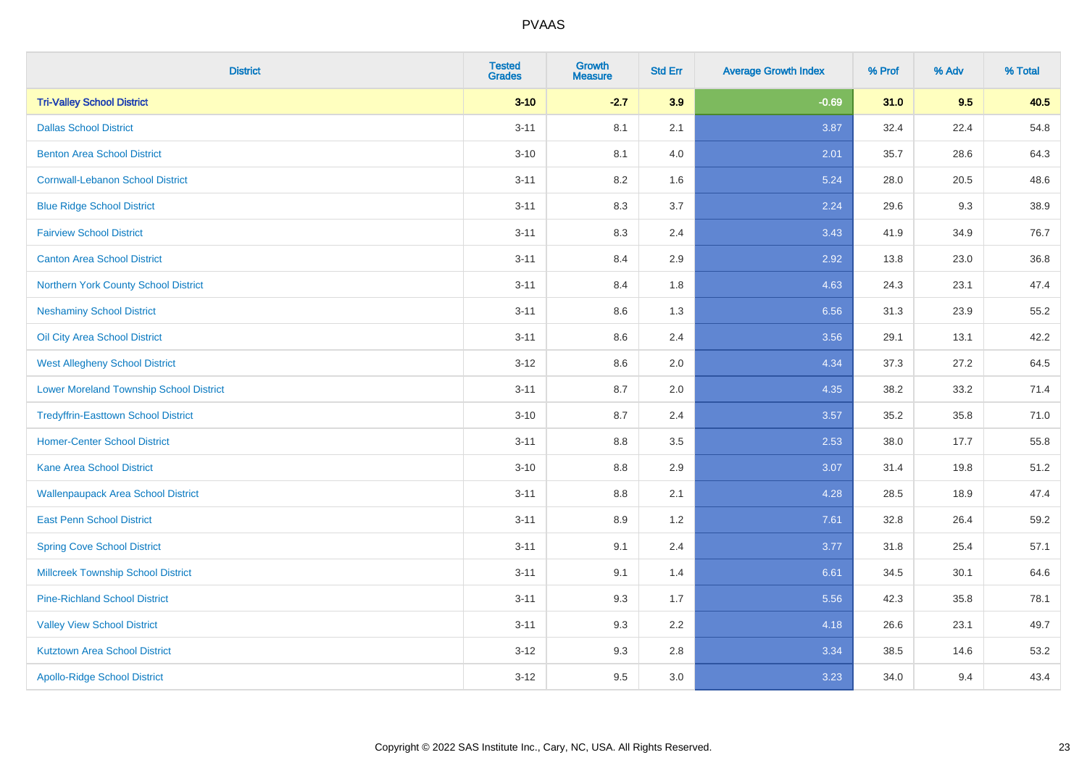| <b>District</b>                                | <b>Tested</b><br><b>Grades</b> | <b>Growth</b><br><b>Measure</b> | <b>Std Err</b> | <b>Average Growth Index</b> | % Prof | % Adv | % Total |
|------------------------------------------------|--------------------------------|---------------------------------|----------------|-----------------------------|--------|-------|---------|
| <b>Tri-Valley School District</b>              | $3 - 10$                       | $-2.7$                          | 3.9            | $-0.69$                     | 31.0   | 9.5   | 40.5    |
| <b>Dallas School District</b>                  | $3 - 11$                       | 8.1                             | 2.1            | 3.87                        | 32.4   | 22.4  | 54.8    |
| <b>Benton Area School District</b>             | $3 - 10$                       | 8.1                             | 4.0            | 2.01                        | 35.7   | 28.6  | 64.3    |
| <b>Cornwall-Lebanon School District</b>        | $3 - 11$                       | 8.2                             | 1.6            | 5.24                        | 28.0   | 20.5  | 48.6    |
| <b>Blue Ridge School District</b>              | $3 - 11$                       | 8.3                             | 3.7            | 2.24                        | 29.6   | 9.3   | 38.9    |
| <b>Fairview School District</b>                | $3 - 11$                       | 8.3                             | 2.4            | 3.43                        | 41.9   | 34.9  | 76.7    |
| <b>Canton Area School District</b>             | $3 - 11$                       | 8.4                             | 2.9            | 2.92                        | 13.8   | 23.0  | 36.8    |
| Northern York County School District           | $3 - 11$                       | 8.4                             | 1.8            | 4.63                        | 24.3   | 23.1  | 47.4    |
| <b>Neshaminy School District</b>               | $3 - 11$                       | 8.6                             | 1.3            | 6.56                        | 31.3   | 23.9  | 55.2    |
| Oil City Area School District                  | $3 - 11$                       | 8.6                             | 2.4            | 3.56                        | 29.1   | 13.1  | 42.2    |
| <b>West Allegheny School District</b>          | $3 - 12$                       | 8.6                             | 2.0            | 4.34                        | 37.3   | 27.2  | 64.5    |
| <b>Lower Moreland Township School District</b> | $3 - 11$                       | 8.7                             | 2.0            | 4.35                        | 38.2   | 33.2  | 71.4    |
| <b>Tredyffrin-Easttown School District</b>     | $3 - 10$                       | 8.7                             | 2.4            | 3.57                        | 35.2   | 35.8  | 71.0    |
| <b>Homer-Center School District</b>            | $3 - 11$                       | 8.8                             | 3.5            | 2.53                        | 38.0   | 17.7  | 55.8    |
| <b>Kane Area School District</b>               | $3 - 10$                       | 8.8                             | 2.9            | 3.07                        | 31.4   | 19.8  | 51.2    |
| <b>Wallenpaupack Area School District</b>      | $3 - 11$                       | $8.8\,$                         | 2.1            | 4.28                        | 28.5   | 18.9  | 47.4    |
| <b>East Penn School District</b>               | $3 - 11$                       | 8.9                             | 1.2            | 7.61                        | 32.8   | 26.4  | 59.2    |
| <b>Spring Cove School District</b>             | $3 - 11$                       | 9.1                             | 2.4            | 3.77                        | 31.8   | 25.4  | 57.1    |
| <b>Millcreek Township School District</b>      | $3 - 11$                       | 9.1                             | 1.4            | 6.61                        | 34.5   | 30.1  | 64.6    |
| <b>Pine-Richland School District</b>           | $3 - 11$                       | 9.3                             | 1.7            | 5.56                        | 42.3   | 35.8  | 78.1    |
| <b>Valley View School District</b>             | $3 - 11$                       | 9.3                             | 2.2            | 4.18                        | 26.6   | 23.1  | 49.7    |
| <b>Kutztown Area School District</b>           | $3 - 12$                       | 9.3                             | 2.8            | 3.34                        | 38.5   | 14.6  | 53.2    |
| <b>Apollo-Ridge School District</b>            | $3 - 12$                       | 9.5                             | 3.0            | 3.23                        | 34.0   | 9.4   | 43.4    |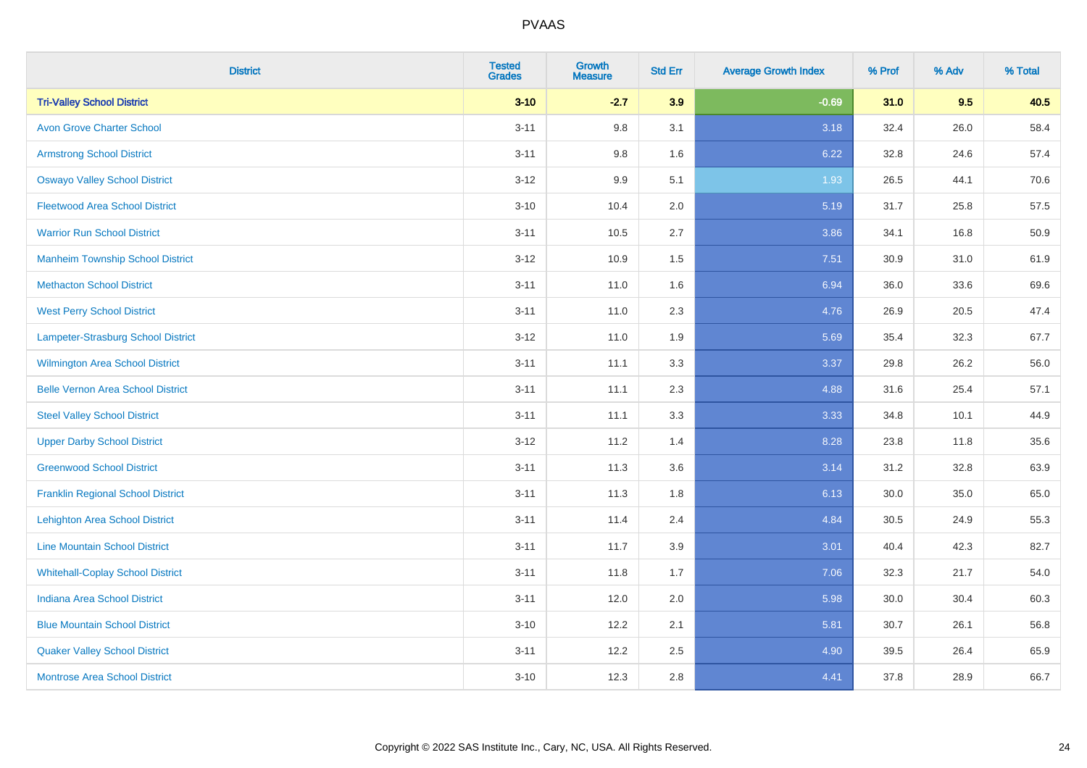| <b>District</b>                          | <b>Tested</b><br><b>Grades</b> | <b>Growth</b><br><b>Measure</b> | <b>Std Err</b> | <b>Average Growth Index</b> | % Prof | % Adv | % Total |
|------------------------------------------|--------------------------------|---------------------------------|----------------|-----------------------------|--------|-------|---------|
| <b>Tri-Valley School District</b>        | $3 - 10$                       | $-2.7$                          | 3.9            | $-0.69$                     | 31.0   | 9.5   | 40.5    |
| <b>Avon Grove Charter School</b>         | $3 - 11$                       | 9.8                             | 3.1            | 3.18                        | 32.4   | 26.0  | 58.4    |
| <b>Armstrong School District</b>         | $3 - 11$                       | 9.8                             | 1.6            | 6.22                        | 32.8   | 24.6  | 57.4    |
| <b>Oswayo Valley School District</b>     | $3 - 12$                       | 9.9                             | 5.1            | 1.93                        | 26.5   | 44.1  | 70.6    |
| <b>Fleetwood Area School District</b>    | $3 - 10$                       | 10.4                            | 2.0            | 5.19                        | 31.7   | 25.8  | 57.5    |
| <b>Warrior Run School District</b>       | $3 - 11$                       | 10.5                            | 2.7            | 3.86                        | 34.1   | 16.8  | 50.9    |
| <b>Manheim Township School District</b>  | $3-12$                         | 10.9                            | 1.5            | 7.51                        | 30.9   | 31.0  | 61.9    |
| <b>Methacton School District</b>         | $3 - 11$                       | 11.0                            | 1.6            | 6.94                        | 36.0   | 33.6  | 69.6    |
| <b>West Perry School District</b>        | $3 - 11$                       | 11.0                            | 2.3            | 4.76                        | 26.9   | 20.5  | 47.4    |
| Lampeter-Strasburg School District       | $3 - 12$                       | 11.0                            | 1.9            | 5.69                        | 35.4   | 32.3  | 67.7    |
| <b>Wilmington Area School District</b>   | $3 - 11$                       | 11.1                            | 3.3            | 3.37                        | 29.8   | 26.2  | 56.0    |
| <b>Belle Vernon Area School District</b> | $3 - 11$                       | 11.1                            | 2.3            | 4.88                        | 31.6   | 25.4  | 57.1    |
| <b>Steel Valley School District</b>      | $3 - 11$                       | 11.1                            | 3.3            | 3.33                        | 34.8   | 10.1  | 44.9    |
| <b>Upper Darby School District</b>       | $3 - 12$                       | 11.2                            | 1.4            | 8.28                        | 23.8   | 11.8  | 35.6    |
| <b>Greenwood School District</b>         | $3 - 11$                       | 11.3                            | 3.6            | 3.14                        | 31.2   | 32.8  | 63.9    |
| <b>Franklin Regional School District</b> | $3 - 11$                       | 11.3                            | 1.8            | 6.13                        | 30.0   | 35.0  | 65.0    |
| <b>Lehighton Area School District</b>    | $3 - 11$                       | 11.4                            | 2.4            | 4.84                        | 30.5   | 24.9  | 55.3    |
| <b>Line Mountain School District</b>     | $3 - 11$                       | 11.7                            | 3.9            | 3.01                        | 40.4   | 42.3  | 82.7    |
| <b>Whitehall-Coplay School District</b>  | $3 - 11$                       | 11.8                            | 1.7            | 7.06                        | 32.3   | 21.7  | 54.0    |
| <b>Indiana Area School District</b>      | $3 - 11$                       | 12.0                            | 2.0            | 5.98                        | 30.0   | 30.4  | 60.3    |
| <b>Blue Mountain School District</b>     | $3 - 10$                       | 12.2                            | 2.1            | 5.81                        | 30.7   | 26.1  | 56.8    |
| <b>Quaker Valley School District</b>     | $3 - 11$                       | 12.2                            | 2.5            | 4.90                        | 39.5   | 26.4  | 65.9    |
| <b>Montrose Area School District</b>     | $3 - 10$                       | 12.3                            | 2.8            | 4.41                        | 37.8   | 28.9  | 66.7    |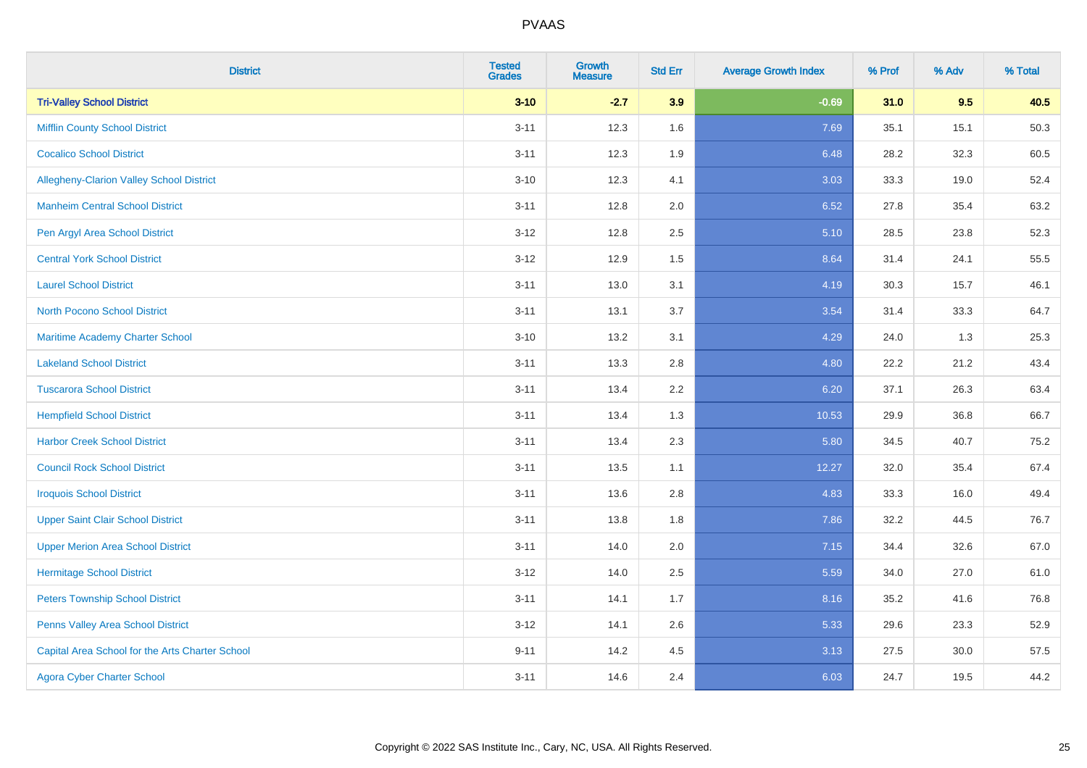| <b>District</b>                                 | <b>Tested</b><br><b>Grades</b> | Growth<br><b>Measure</b> | <b>Std Err</b> | <b>Average Growth Index</b> | % Prof | % Adv | % Total |
|-------------------------------------------------|--------------------------------|--------------------------|----------------|-----------------------------|--------|-------|---------|
| <b>Tri-Valley School District</b>               | $3 - 10$                       | $-2.7$                   | 3.9            | $-0.69$                     | 31.0   | 9.5   | 40.5    |
| <b>Mifflin County School District</b>           | $3 - 11$                       | 12.3                     | 1.6            | 7.69                        | 35.1   | 15.1  | 50.3    |
| <b>Cocalico School District</b>                 | $3 - 11$                       | 12.3                     | 1.9            | 6.48                        | 28.2   | 32.3  | 60.5    |
| Allegheny-Clarion Valley School District        | $3 - 10$                       | 12.3                     | 4.1            | 3.03                        | 33.3   | 19.0  | 52.4    |
| <b>Manheim Central School District</b>          | $3 - 11$                       | 12.8                     | 2.0            | 6.52                        | 27.8   | 35.4  | 63.2    |
| Pen Argyl Area School District                  | $3 - 12$                       | 12.8                     | 2.5            | 5.10                        | 28.5   | 23.8  | 52.3    |
| <b>Central York School District</b>             | $3 - 12$                       | 12.9                     | 1.5            | 8.64                        | 31.4   | 24.1  | 55.5    |
| <b>Laurel School District</b>                   | $3 - 11$                       | 13.0                     | 3.1            | 4.19                        | 30.3   | 15.7  | 46.1    |
| North Pocono School District                    | $3 - 11$                       | 13.1                     | 3.7            | 3.54                        | 31.4   | 33.3  | 64.7    |
| <b>Maritime Academy Charter School</b>          | $3 - 10$                       | 13.2                     | 3.1            | 4.29                        | 24.0   | 1.3   | 25.3    |
| <b>Lakeland School District</b>                 | $3 - 11$                       | 13.3                     | 2.8            | 4.80                        | 22.2   | 21.2  | 43.4    |
| <b>Tuscarora School District</b>                | $3 - 11$                       | 13.4                     | 2.2            | 6.20                        | 37.1   | 26.3  | 63.4    |
| <b>Hempfield School District</b>                | $3 - 11$                       | 13.4                     | 1.3            | 10.53                       | 29.9   | 36.8  | 66.7    |
| <b>Harbor Creek School District</b>             | $3 - 11$                       | 13.4                     | 2.3            | 5.80                        | 34.5   | 40.7  | 75.2    |
| <b>Council Rock School District</b>             | $3 - 11$                       | 13.5                     | 1.1            | 12.27                       | 32.0   | 35.4  | 67.4    |
| <b>Iroquois School District</b>                 | $3 - 11$                       | 13.6                     | 2.8            | 4.83                        | 33.3   | 16.0  | 49.4    |
| <b>Upper Saint Clair School District</b>        | $3 - 11$                       | 13.8                     | 1.8            | 7.86                        | 32.2   | 44.5  | 76.7    |
| <b>Upper Merion Area School District</b>        | $3 - 11$                       | 14.0                     | 2.0            | 7.15                        | 34.4   | 32.6  | 67.0    |
| <b>Hermitage School District</b>                | $3 - 12$                       | 14.0                     | 2.5            | 5.59                        | 34.0   | 27.0  | 61.0    |
| <b>Peters Township School District</b>          | $3 - 11$                       | 14.1                     | 1.7            | 8.16                        | 35.2   | 41.6  | 76.8    |
| Penns Valley Area School District               | $3 - 12$                       | 14.1                     | 2.6            | 5.33                        | 29.6   | 23.3  | 52.9    |
| Capital Area School for the Arts Charter School | $9 - 11$                       | 14.2                     | 4.5            | 3.13                        | 27.5   | 30.0  | 57.5    |
| <b>Agora Cyber Charter School</b>               | $3 - 11$                       | 14.6                     | 2.4            | 6.03                        | 24.7   | 19.5  | 44.2    |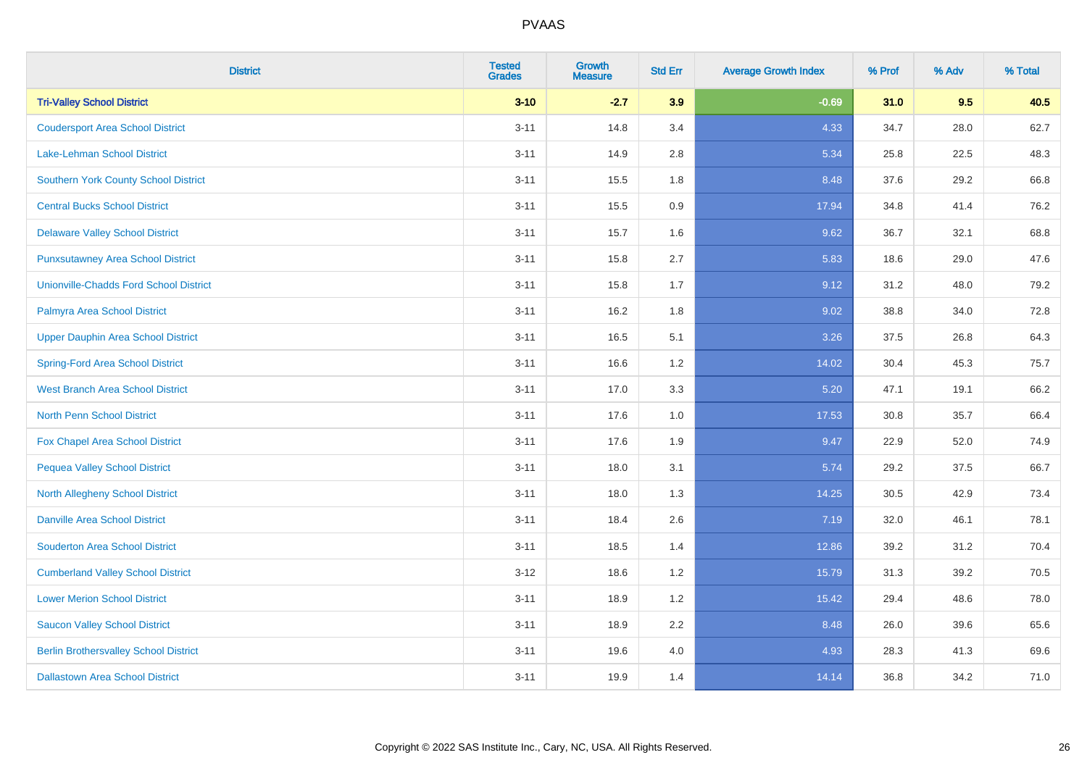| <b>District</b>                               | <b>Tested</b><br><b>Grades</b> | <b>Growth</b><br><b>Measure</b> | <b>Std Err</b> | <b>Average Growth Index</b> | % Prof | % Adv | % Total |
|-----------------------------------------------|--------------------------------|---------------------------------|----------------|-----------------------------|--------|-------|---------|
| <b>Tri-Valley School District</b>             | $3 - 10$                       | $-2.7$                          | 3.9            | $-0.69$                     | 31.0   | 9.5   | 40.5    |
| <b>Coudersport Area School District</b>       | $3 - 11$                       | 14.8                            | 3.4            | 4.33                        | 34.7   | 28.0  | 62.7    |
| Lake-Lehman School District                   | $3 - 11$                       | 14.9                            | 2.8            | 5.34                        | 25.8   | 22.5  | 48.3    |
| <b>Southern York County School District</b>   | $3 - 11$                       | 15.5                            | 1.8            | 8.48                        | 37.6   | 29.2  | 66.8    |
| <b>Central Bucks School District</b>          | $3 - 11$                       | 15.5                            | 0.9            | 17.94                       | 34.8   | 41.4  | 76.2    |
| <b>Delaware Valley School District</b>        | $3 - 11$                       | 15.7                            | 1.6            | 9.62                        | 36.7   | 32.1  | 68.8    |
| <b>Punxsutawney Area School District</b>      | $3 - 11$                       | 15.8                            | 2.7            | 5.83                        | 18.6   | 29.0  | 47.6    |
| <b>Unionville-Chadds Ford School District</b> | $3 - 11$                       | 15.8                            | 1.7            | 9.12                        | 31.2   | 48.0  | 79.2    |
| Palmyra Area School District                  | $3 - 11$                       | 16.2                            | 1.8            | 9.02                        | 38.8   | 34.0  | 72.8    |
| <b>Upper Dauphin Area School District</b>     | $3 - 11$                       | 16.5                            | 5.1            | 3.26                        | 37.5   | 26.8  | 64.3    |
| <b>Spring-Ford Area School District</b>       | $3 - 11$                       | 16.6                            | 1.2            | 14.02                       | 30.4   | 45.3  | 75.7    |
| <b>West Branch Area School District</b>       | $3 - 11$                       | 17.0                            | 3.3            | 5.20                        | 47.1   | 19.1  | 66.2    |
| North Penn School District                    | $3 - 11$                       | 17.6                            | 1.0            | 17.53                       | 30.8   | 35.7  | 66.4    |
| <b>Fox Chapel Area School District</b>        | $3 - 11$                       | 17.6                            | 1.9            | 9.47                        | 22.9   | 52.0  | 74.9    |
| <b>Pequea Valley School District</b>          | $3 - 11$                       | 18.0                            | 3.1            | 5.74                        | 29.2   | 37.5  | 66.7    |
| North Allegheny School District               | $3 - 11$                       | 18.0                            | 1.3            | 14.25                       | 30.5   | 42.9  | 73.4    |
| <b>Danville Area School District</b>          | $3 - 11$                       | 18.4                            | 2.6            | 7.19                        | 32.0   | 46.1  | 78.1    |
| <b>Souderton Area School District</b>         | $3 - 11$                       | 18.5                            | 1.4            | 12.86                       | 39.2   | 31.2  | 70.4    |
| <b>Cumberland Valley School District</b>      | $3 - 12$                       | 18.6                            | 1.2            | 15.79                       | 31.3   | 39.2  | 70.5    |
| <b>Lower Merion School District</b>           | $3 - 11$                       | 18.9                            | 1.2            | 15.42                       | 29.4   | 48.6  | 78.0    |
| <b>Saucon Valley School District</b>          | $3 - 11$                       | 18.9                            | 2.2            | 8.48                        | 26.0   | 39.6  | 65.6    |
| <b>Berlin Brothersvalley School District</b>  | $3 - 11$                       | 19.6                            | 4.0            | 4.93                        | 28.3   | 41.3  | 69.6    |
| <b>Dallastown Area School District</b>        | $3 - 11$                       | 19.9                            | 1.4            | 14.14                       | 36.8   | 34.2  | 71.0    |